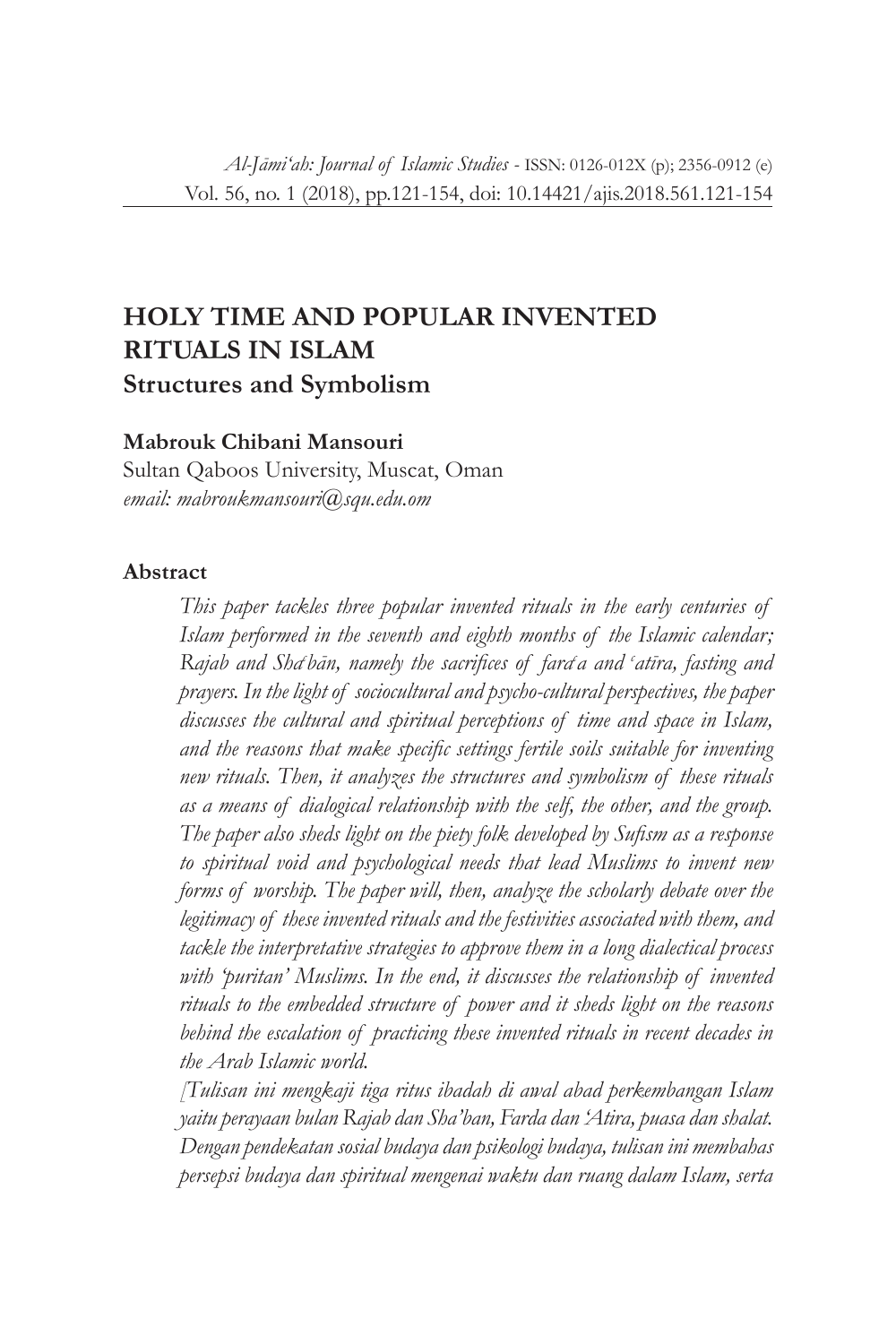# **HOLY TIME AND POPULAR INVENTED RITUALS IN ISLAM Structures and Symbolism**

## **Mabrouk Chibani Mansouri**

Sultan Qaboos University, Muscat, Oman *email: mabroukmansouri@squ.edu.om*

### **Abstract**

*This paper tackles three popular invented rituals in the early centuries of Islam performed in the seventh and eighth months of the Islamic calendar;*  Rajab and Sha<sup>t</sup>ban, namely the sacrifices of fara<sup>c</sup>a and 'atīra, fasting and *prayers. In the light of sociocultural and psycho-cultural perspectives, the paper discusses the cultural and spiritual perceptions of time and space in Islam, and the reasons that make specific settings fertile soils suitable for inventing new rituals. Then, it analyzes the structures and symbolism of these rituals as a means of dialogical relationship with the self, the other, and the group. The paper also sheds light on the piety folk developed by Sufism as a response to spiritual void and psychological needs that lead Muslims to invent new forms of worship. The paper will, then, analyze the scholarly debate over the legitimacy of these invented rituals and the festivities associated with them, and tackle the interpretative strategies to approve them in a long dialectical process*  with 'puritan' Muslims. In the end, it discusses the relationship of invented *rituals to the embedded structure of power and it sheds light on the reasons*  behind the escalation of practicing these invented rituals in recent decades in *the Arab Islamic world.*

*[Tulisan ini mengkaji tiga ritus ibadah di awal abad perkembangan Islam yaitu perayaan bulan Rajab dan Sha'ban, Farda dan 'Atira, puasa dan shalat. Dengan pendekatan sosial budaya dan psikologi budaya, tulisan ini membahas persepsi budaya dan spiritual mengenai waktu dan ruang dalam Islam, serta*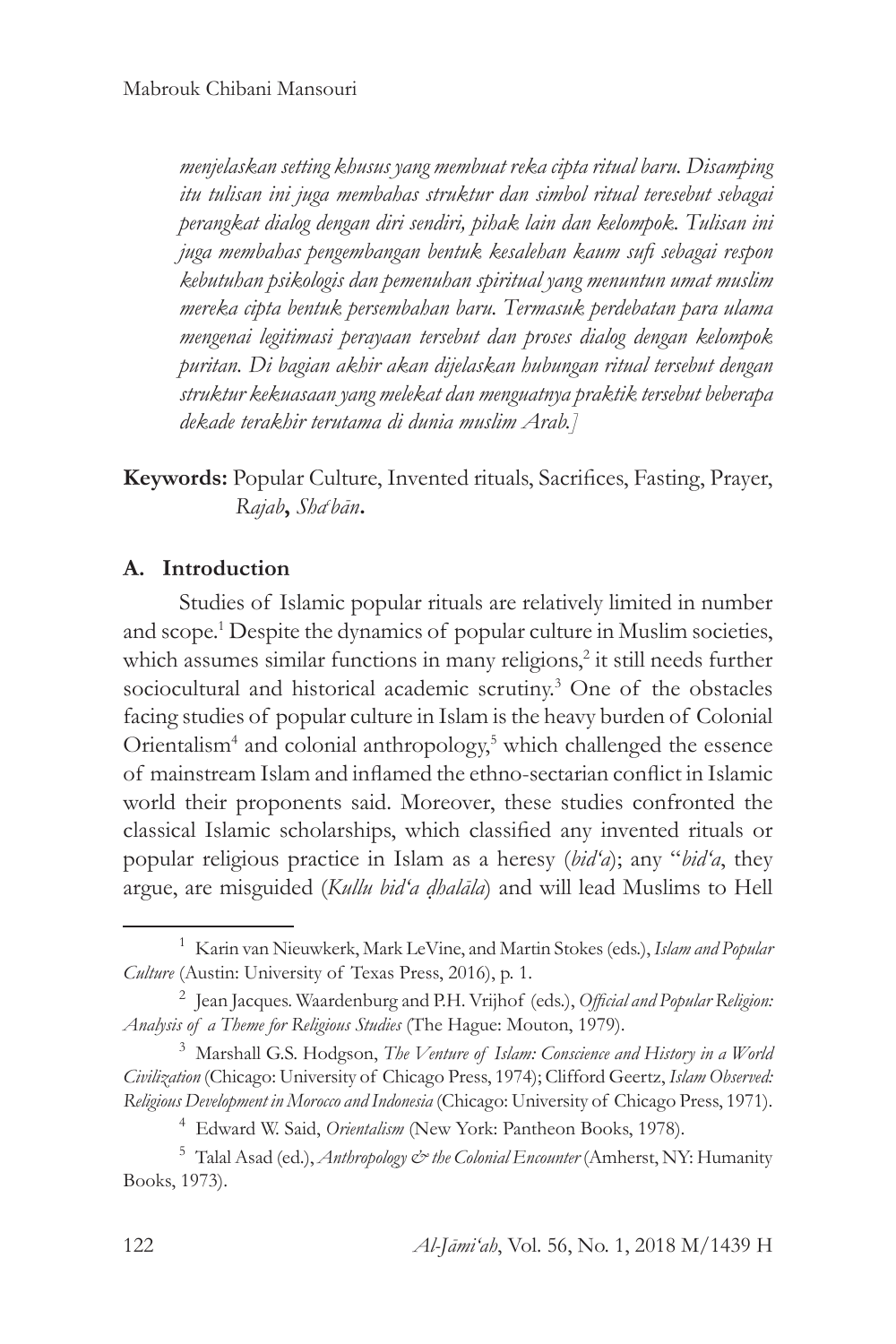*menjelaskan setting khusus yang membuat reka cipta ritual baru. Disamping itu tulisan ini juga membahas struktur dan simbol ritual teresebut sebagai perangkat dialog dengan diri sendiri, pihak lain dan kelompok. Tulisan ini juga membahas pengembangan bentuk kesalehan kaum sufi sebagai respon kebutuhan psikologis dan pemenuhan spiritual yang menuntun umat muslim mereka cipta bentuk persembahan baru. Termasuk perdebatan para ulama mengenai legitimasi perayaan tersebut dan proses dialog dengan kelompok puritan. Di bagian akhir akan dijelaskan hubungan ritual tersebut dengan struktur kekuasaan yang melekat dan menguatnya praktik tersebut beberapa dekade terakhir terutama di dunia muslim Arab.]* 

**Keywords:** Popular Culture, Invented rituals, Sacrifices, Fasting, Prayer, *Rajab***,** *Shac bān***.** 

## **A. Introduction**

Studies of Islamic popular rituals are relatively limited in number and scope.1 Despite the dynamics of popular culture in Muslim societies, which assumes similar functions in many religions,<sup>2</sup> it still needs further sociocultural and historical academic scrutiny.<sup>3</sup> One of the obstacles facing studies of popular culture in Islam is the heavy burden of Colonial Orientalism<sup>4</sup> and colonial anthropology,<sup>5</sup> which challenged the essence of mainstream Islam and inflamed the ethno-sectarian conflict in Islamic world their proponents said. Moreover, these studies confronted the classical Islamic scholarships, which classified any invented rituals or popular religious practice in Islam as a heresy (*bid'a*); any "*bid'a*, they argue, are misguided (*Kullu bid'a ḍhalāla*) and will lead Muslims to Hell

<sup>1</sup> Karin van Nieuwkerk, Mark LeVine, and Martin Stokes (eds.), *Islam and Popular Culture* (Austin: University of Texas Press, 2016), p. 1.

<sup>2</sup> Jean Jacques. Waardenburg and P.H. Vrijhof (eds.), *Official and Popular Religion: Analysis of a Theme for Religious Studies* (The Hague: Mouton, 1979).

<sup>3</sup> Marshall G.S. Hodgson, *The Venture of Islam: Conscience and History in a World Civilization* (Chicago: University of Chicago Press, 1974); Clifford Geertz, *Islam Observed: Religious Development in Morocco and Indonesia* (Chicago: University of Chicago Press, 1971).

<sup>4</sup> Edward W. Said, *Orientalism* (New York: Pantheon Books, 1978).

<sup>5</sup> Talal Asad (ed.), *Anthropology & the Colonial Encounter* (Amherst, NY: Humanity Books, 1973).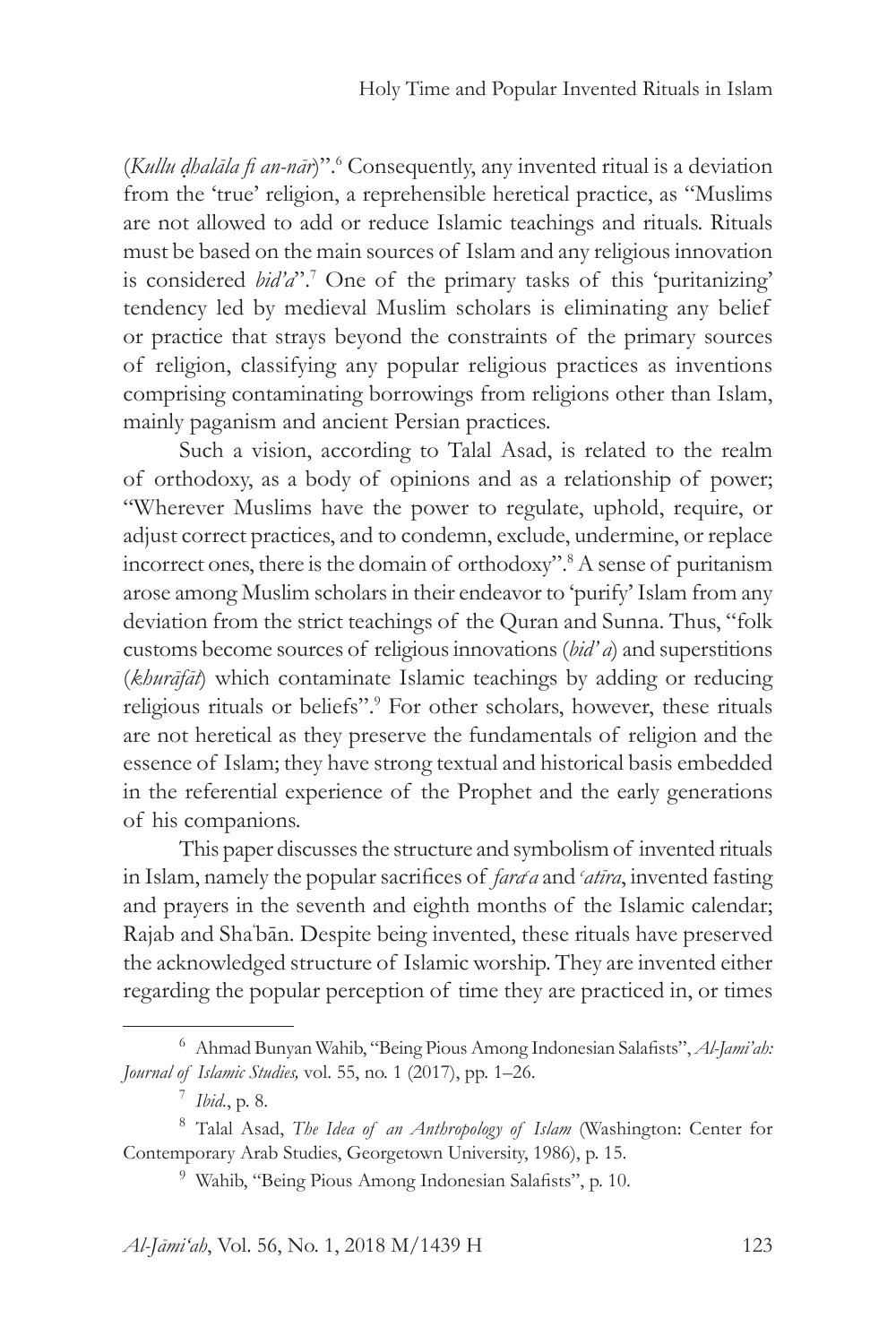(*Kullu ḍhalāla fi an-nār*)".6 Consequently, any invented ritual is a deviation from the 'true' religion, a reprehensible heretical practice, as "Muslims are not allowed to add or reduce Islamic teachings and rituals. Rituals must be based on the main sources of Islam and any religious innovation is considered *bid'a*".<sup>7</sup> One of the primary tasks of this 'puritanizing' tendency led by medieval Muslim scholars is eliminating any belief or practice that strays beyond the constraints of the primary sources of religion, classifying any popular religious practices as inventions comprising contaminating borrowings from religions other than Islam, mainly paganism and ancient Persian practices.

Such a vision, according to Talal Asad, is related to the realm of orthodoxy, as a body of opinions and as a relationship of power; "Wherever Muslims have the power to regulate, uphold, require, or adjust correct practices, and to condemn, exclude, undermine, or replace incorrect ones, there is the domain of orthodoxy".8 A sense of puritanism arose among Muslim scholars in their endeavor to 'purify' Islam from any deviation from the strict teachings of the Quran and Sunna. Thus, "folk customs become sources of religious innovations (*bid' a*) and superstitions (*khurāfāt*) which contaminate Islamic teachings by adding or reducing religious rituals or beliefs".<sup>9</sup> For other scholars, however, these rituals are not heretical as they preserve the fundamentals of religion and the essence of Islam; they have strong textual and historical basis embedded in the referential experience of the Prophet and the early generations of his companions.

This paper discusses the structure and symbolism of invented rituals in Islam, namely the popular sacrifices of *fard a* and *'atīra*, invented fasting and prayers in the seventh and eighth months of the Islamic calendar; Rajab and Sha' bān. Despite being invented, these rituals have preserved the acknowledged structure of Islamic worship. They are invented either regarding the popular perception of time they are practiced in, or times

<sup>6</sup> Ahmad Bunyan Wahib, "Being Pious Among Indonesian Salafists", *Al-Jami'ah: Journal of Islamic Studies,* vol. 55, no. 1 (2017), pp. 1–26.

<sup>7</sup> *Ibid.*, p. 8.

<sup>8</sup> Talal Asad, *The Idea of an Anthropology of Islam* (Washington: Center for Contemporary Arab Studies, Georgetown University, 1986), p. 15.

<sup>9</sup> Wahib, "Being Pious Among Indonesian Salafists", p. 10.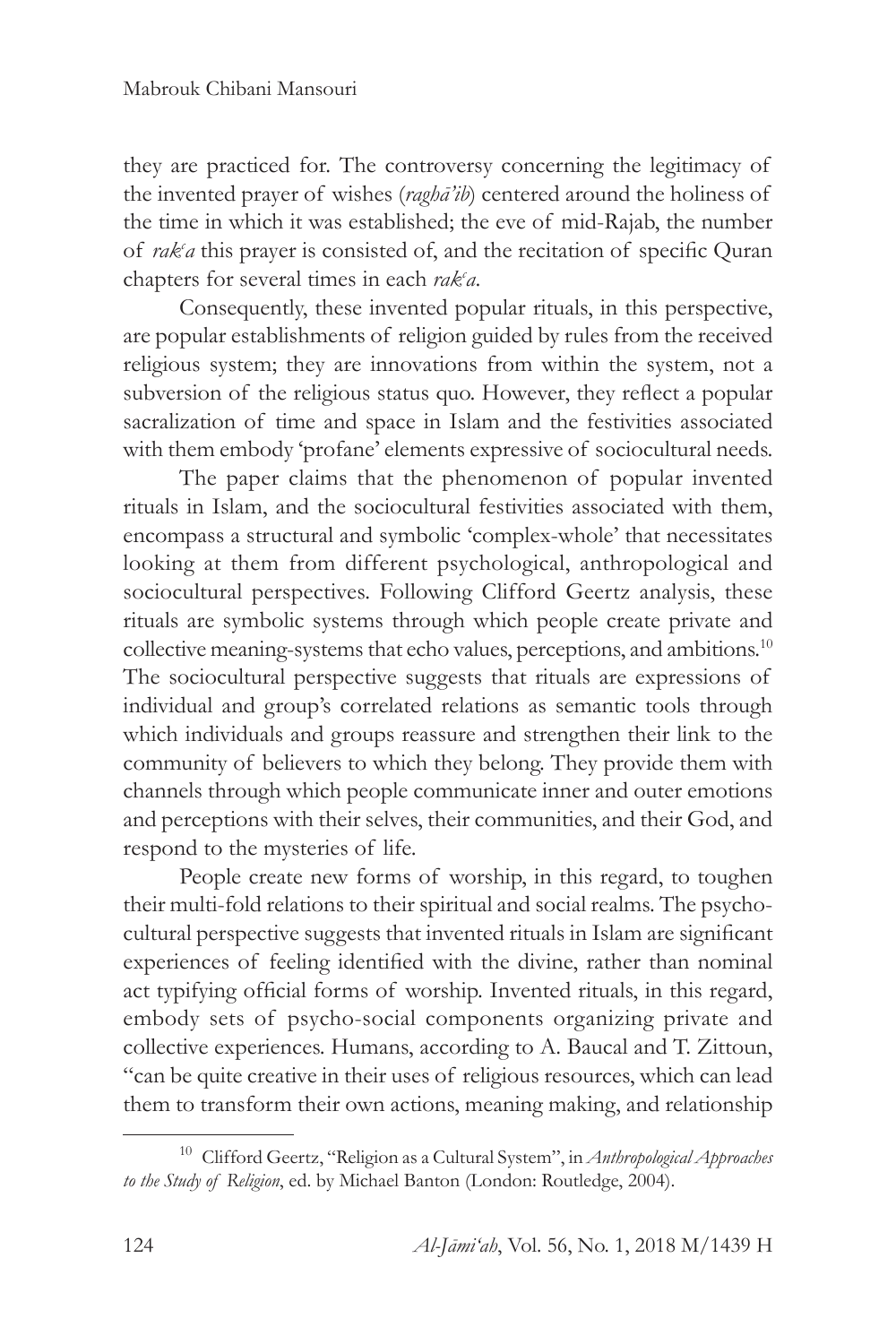they are practiced for. The controversy concerning the legitimacy of the invented prayer of wishes (*raghā'ib*) centered around the holiness of the time in which it was established; the eve of mid-Rajab, the number of *rak<sup>c</sup>a* this prayer is consisted of, and the recitation of specific Quran chapters for several times in each *rak<sup>c</sup>a*.

Consequently, these invented popular rituals, in this perspective, are popular establishments of religion guided by rules from the received religious system; they are innovations from within the system, not a subversion of the religious status quo. However, they reflect a popular sacralization of time and space in Islam and the festivities associated with them embody 'profane' elements expressive of sociocultural needs.

The paper claims that the phenomenon of popular invented rituals in Islam, and the sociocultural festivities associated with them, encompass a structural and symbolic 'complex-whole' that necessitates looking at them from different psychological, anthropological and sociocultural perspectives. Following Clifford Geertz analysis, these rituals are symbolic systems through which people create private and collective meaning-systems that echo values, perceptions, and ambitions.<sup>10</sup> The sociocultural perspective suggests that rituals are expressions of individual and group's correlated relations as semantic tools through which individuals and groups reassure and strengthen their link to the community of believers to which they belong. They provide them with channels through which people communicate inner and outer emotions and perceptions with their selves, their communities, and their God, and respond to the mysteries of life.

People create new forms of worship, in this regard, to toughen their multi-fold relations to their spiritual and social realms. The psychocultural perspective suggests that invented rituals in Islam are significant experiences of feeling identified with the divine, rather than nominal act typifying official forms of worship. Invented rituals, in this regard, embody sets of psycho-social components organizing private and collective experiences. Humans, according to A. Baucal and T. Zittoun, "can be quite creative in their uses of religious resources, which can lead them to transform their own actions, meaning making, and relationship

<sup>10</sup> Clifford Geertz, "Religion as a Cultural System", in *Anthropological Approaches to the Study of Religion*, ed. by Michael Banton (London: Routledge, 2004).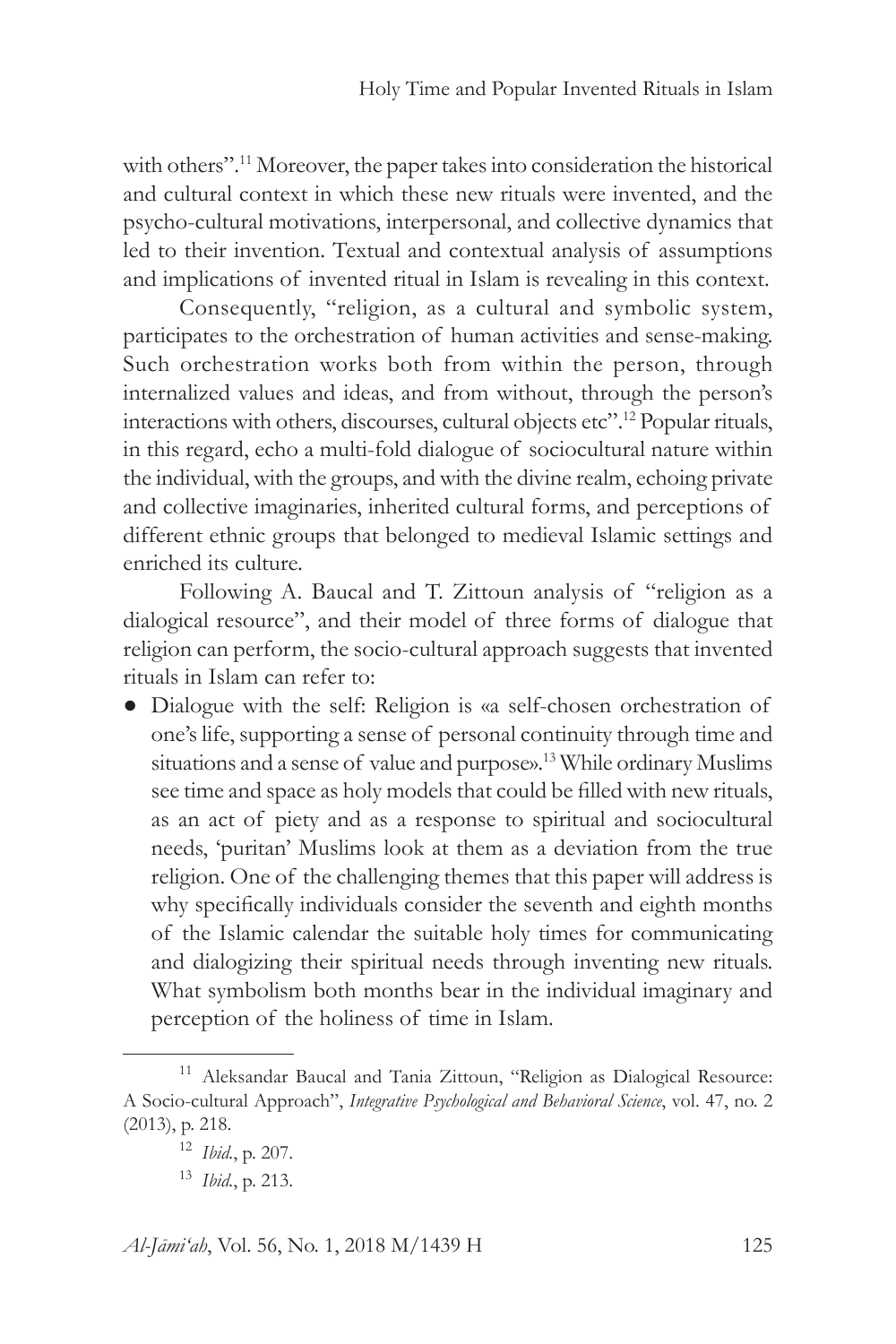with others".<sup>11</sup> Moreover, the paper takes into consideration the historical and cultural context in which these new rituals were invented, and the psycho-cultural motivations, interpersonal, and collective dynamics that led to their invention. Textual and contextual analysis of assumptions and implications of invented ritual in Islam is revealing in this context.

Consequently, "religion, as a cultural and symbolic system, participates to the orchestration of human activities and sense-making. Such orchestration works both from within the person, through internalized values and ideas, and from without, through the person's interactions with others, discourses, cultural objects etc".12 Popular rituals, in this regard, echo a multi-fold dialogue of sociocultural nature within the individual, with the groups, and with the divine realm, echoing private and collective imaginaries, inherited cultural forms, and perceptions of different ethnic groups that belonged to medieval Islamic settings and enriched its culture.

Following A. Baucal and T. Zittoun analysis of "religion as a dialogical resource", and their model of three forms of dialogue that religion can perform, the socio-cultural approach suggests that invented rituals in Islam can refer to:

● Dialogue with the self: Religion is «a self-chosen orchestration of one's life, supporting a sense of personal continuity through time and situations and a sense of value and purpose».<sup>13</sup> While ordinary Muslims see time and space as holy models that could be filled with new rituals, as an act of piety and as a response to spiritual and sociocultural needs, 'puritan' Muslims look at them as a deviation from the true religion. One of the challenging themes that this paper will address is why specifically individuals consider the seventh and eighth months of the Islamic calendar the suitable holy times for communicating and dialogizing their spiritual needs through inventing new rituals. What symbolism both months bear in the individual imaginary and perception of the holiness of time in Islam.

<sup>&</sup>lt;sup>11</sup> Aleksandar Baucal and Tania Zittoun, "Religion as Dialogical Resource: A Socio-cultural Approach", *Integrative Psychological and Behavioral Science*, vol. 47, no. 2 (2013), p. 218.

<sup>12</sup> *Ibid.*, p. 207.

<sup>13</sup> *Ibid.*, p. 213.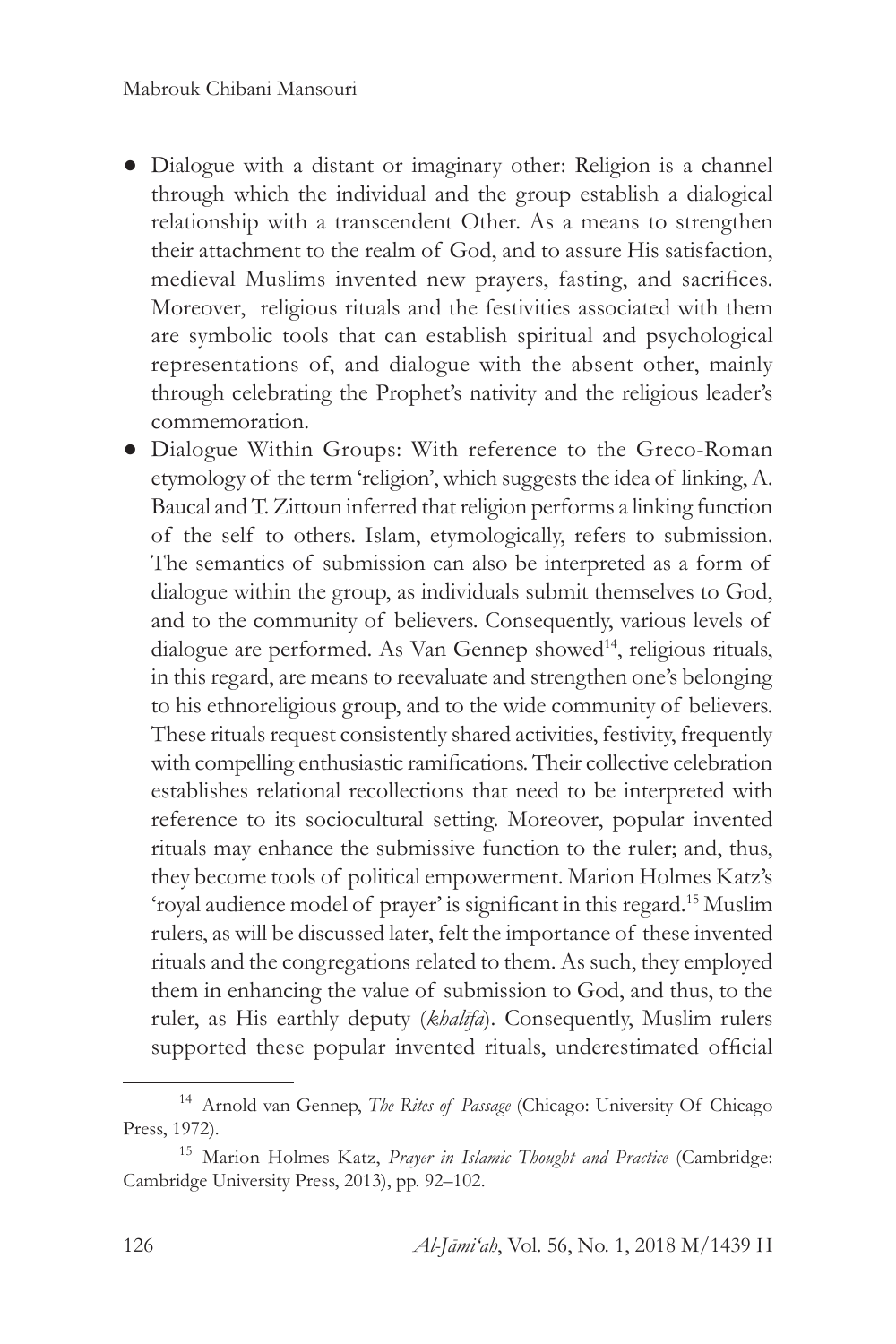- Dialogue with a distant or imaginary other: Religion is a channel through which the individual and the group establish a dialogical relationship with a transcendent Other. As a means to strengthen their attachment to the realm of God, and to assure His satisfaction, medieval Muslims invented new prayers, fasting, and sacrifices. Moreover, religious rituals and the festivities associated with them are symbolic tools that can establish spiritual and psychological representations of, and dialogue with the absent other, mainly through celebrating the Prophet's nativity and the religious leader's commemoration.
- Dialogue Within Groups: With reference to the Greco-Roman etymology of the term 'religion', which suggests the idea of linking, A. Baucal and T. Zittoun inferred that religion performs a linking function of the self to others. Islam, etymologically, refers to submission. The semantics of submission can also be interpreted as a form of dialogue within the group, as individuals submit themselves to God, and to the community of believers. Consequently, various levels of dialogue are performed. As Van Gennep showed<sup>14</sup>, religious rituals, in this regard, are means to reevaluate and strengthen one's belonging to his ethnoreligious group, and to the wide community of believers. These rituals request consistently shared activities, festivity, frequently with compelling enthusiastic ramifications. Their collective celebration establishes relational recollections that need to be interpreted with reference to its sociocultural setting. Moreover, popular invented rituals may enhance the submissive function to the ruler; and, thus, they become tools of political empowerment. Marion Holmes Katz's 'royal audience model of prayer' is significant in this regard.15 Muslim rulers, as will be discussed later, felt the importance of these invented rituals and the congregations related to them. As such, they employed them in enhancing the value of submission to God, and thus, to the ruler, as His earthly deputy (*khalīfa*). Consequently, Muslim rulers supported these popular invented rituals, underestimated official

<sup>14</sup> Arnold van Gennep, *The Rites of Passage* (Chicago: University Of Chicago Press, 1972).

<sup>15</sup> Marion Holmes Katz, *Prayer in Islamic Thought and Practice* (Cambridge: Cambridge University Press, 2013), pp. 92–102.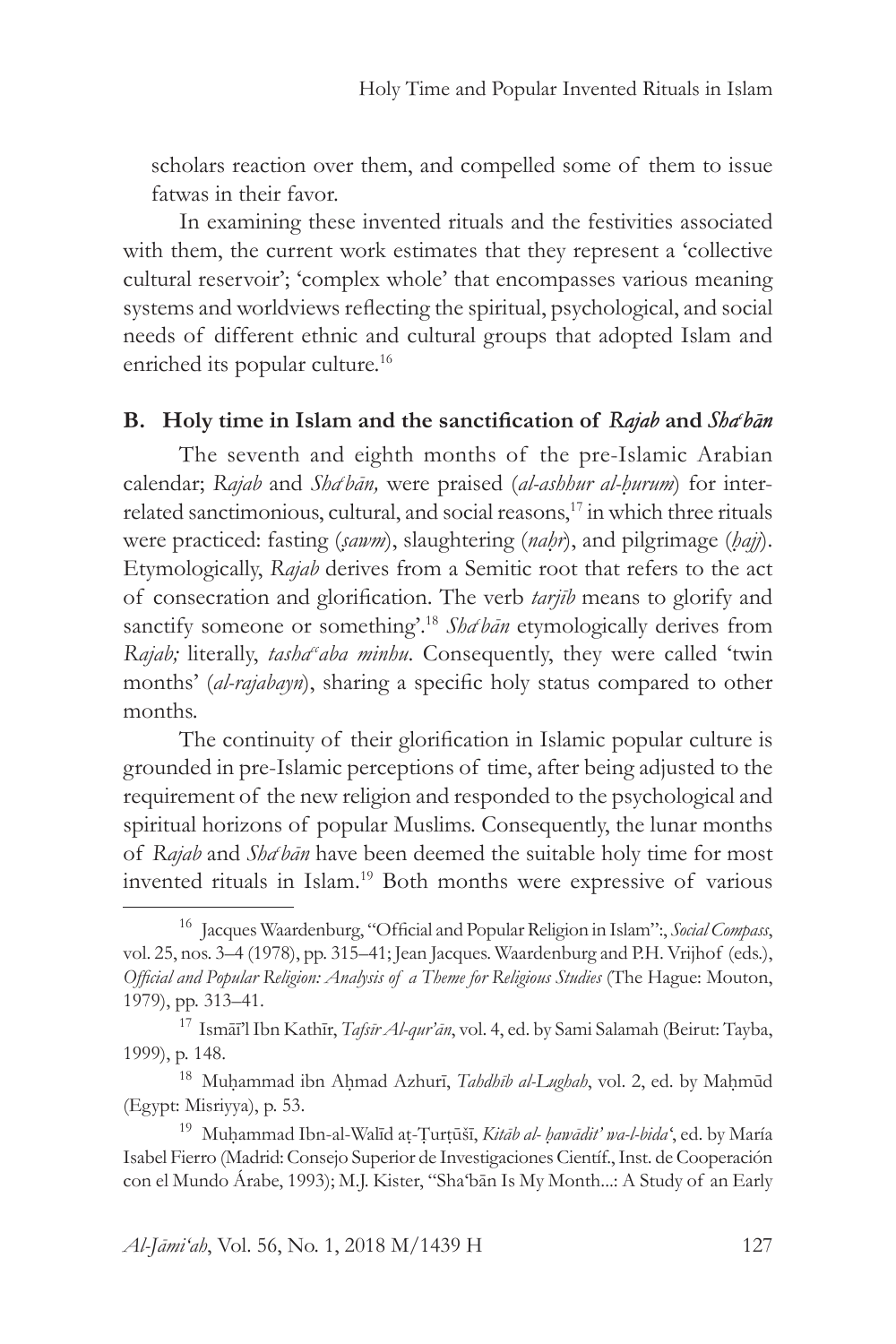scholars reaction over them, and compelled some of them to issue fatwas in their favor.

In examining these invented rituals and the festivities associated with them, the current work estimates that they represent a 'collective cultural reservoir'; 'complex whole' that encompasses various meaning systems and worldviews reflecting the spiritual, psychological, and social needs of different ethnic and cultural groups that adopted Islam and enriched its popular culture.<sup>16</sup>

# **B. Holy time in Islam and the sanctification of** *Rajab* **and** *Shac bān*

The seventh and eighth months of the pre-Islamic Arabian calendar; *Rajab* and *Sha<sup>c</sup>hān*, were praised (al-ashhur al-hurum) for interrelated sanctimonious, cultural, and social reasons,<sup>17</sup> in which three rituals were practiced: fasting (*ṣawm*), slaughtering (*naḥr*), and pilgrimage (*ḥajj*). Etymologically, *Rajab* derives from a Semitic root that refers to the act of consecration and glorification. The verb *tarjīb* means to glorify and sanctify someone or something<sup>2.18</sup> *Sha<sup>chan*</sup> etymologically derives from *Rajab*; literally, *tasha<sup>c</sup>aba minhu*. Consequently, they were called 'twin months' (*al-rajabayn*), sharing a specific holy status compared to other months.

The continuity of their glorification in Islamic popular culture is grounded in pre-Islamic perceptions of time, after being adjusted to the requirement of the new religion and responded to the psychological and spiritual horizons of popular Muslims. Consequently, the lunar months of *Rajab* and *Sha<sup>c</sup> bān* have been deemed the suitable holy time for most invented rituals in Islam.<sup>19</sup> Both months were expressive of various

<sup>16</sup> Jacques Waardenburg, "Official and Popular Religion in Islam":, *Social Compass*, vol. 25, nos. 3–4 (1978), pp. 315–41; Jean Jacques. Waardenburg and P.H. Vrijhof (eds.), *Official and Popular Religion: Analysis of a Theme for Religious Studies* (The Hague: Mouton, 1979), pp. 313–41.

<sup>17</sup> Ismāī'l Ibn Kathīr, *Tafsīr Al-qur'ān*, vol. 4, ed. by Sami Salamah (Beirut: Tayba, 1999), p. 148.

<sup>18</sup> Muḥammad ibn Aḥmad Azhurī, *Tahdhīb al-Lughah*, vol. 2, ed. by Maḥmūd (Egypt: Misriyya), p. 53.

<sup>19</sup> Muḥammad Ibn-al-Walīd aṭ-Ṭurṭūšī, *Kitāb al- ḥawādit' wa-l-bidaʻ*, ed. by María Isabel Fierro (Madrid: Consejo Superior de Investigaciones Científ., Inst. de Cooperación con el Mundo Árabe, 1993); M.J. Kister, "Sha'bān Is My Month...: A Study of an Early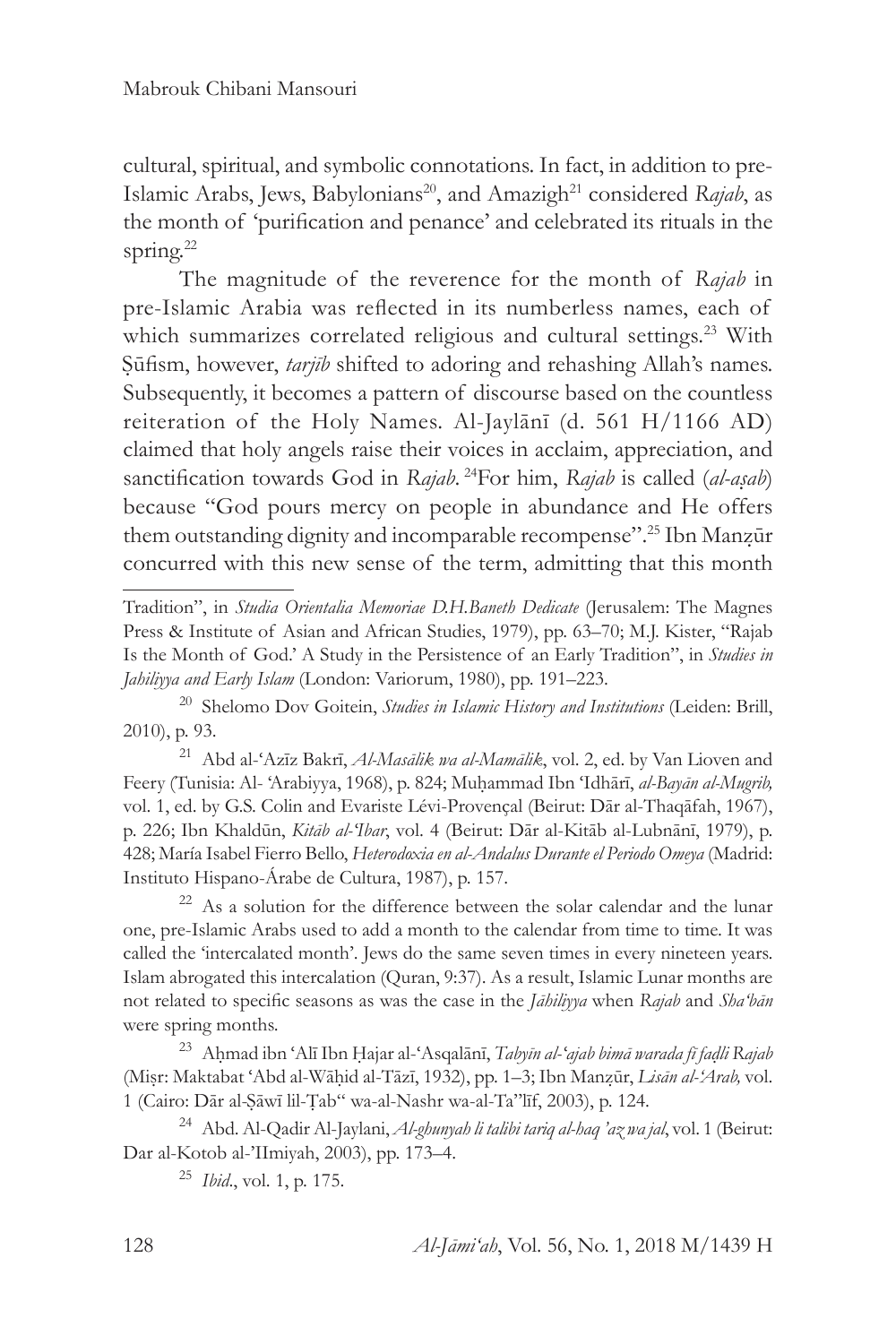cultural, spiritual, and symbolic connotations. In fact, in addition to pre-Islamic Arabs, Jews, Babylonians<sup>20</sup>, and Amazigh<sup>21</sup> considered *Rajab*, as the month of 'purification and penance' and celebrated its rituals in the spring.<sup>22</sup>

The magnitude of the reverence for the month of *Rajab* in pre-Islamic Arabia was reflected in its numberless names, each of which summarizes correlated religious and cultural settings.<sup>23</sup> With Ṣūfism, however, *tarjīb* shifted to adoring and rehashing Allah's names. Subsequently, it becomes a pattern of discourse based on the countless reiteration of the Holy Names. Al-Jaylānī (d. 561 H/1166 AD) claimed that holy angels raise their voices in acclaim, appreciation, and sanctification towards God in *Rajab*. <sup>24</sup>For him, *Rajab* is called (*al-aṣab*) because "God pours mercy on people in abundance and He offers them outstanding dignity and incomparable recompense".<sup>25</sup> Ibn Manzūr concurred with this new sense of the term, admitting that this month

Tradition", in *Studia Orientalia Memoriae D.H.Baneth Dedicate* (Jerusalem: The Magnes Press & Institute of Asian and African Studies, 1979), pp. 63–70; M.J. Kister, "Rajab Is the Month of God.' A Study in the Persistence of an Early Tradition", in *Studies in Jahiliyya and Early Islam* (London: Variorum, 1980), pp. 191–223.

<sup>20</sup> Shelomo Dov Goitein, *Studies in Islamic History and Institutions* (Leiden: Brill, 2010), p. 93.

<sup>21</sup> Abd al-ʻAzīz Bakrī, *Al-Masālik wa al-Mamālik*, vol. 2, ed. by Van Lioven and Feery (Tunisia: Al- 'Arabiyya, 1968), p. 824; Muḥammad Ibn ʻIdhārī, *al-Bayān al-Mugrib,* vol. 1, ed. by G.S. Colin and Evariste Lévi-Provençal (Beirut: Dār al-Thaqāfah, 1967), p. 226; Ibn Khaldūn, *Kitāb al-ʻIbar*, vol. 4 (Beirut: Dār al-Kitāb al-Lubnānī, 1979), p. 428; María Isabel Fierro Bello, *Heterodoxia en al-Andalus Durante el Periodo Omeya* (Madrid: Instituto Hispano-Árabe de Cultura, 1987), p. 157.

<sup>22</sup> As a solution for the difference between the solar calendar and the lunar one, pre-Islamic Arabs used to add a month to the calendar from time to time. It was called the 'intercalated month'. Jews do the same seven times in every nineteen years. Islam abrogated this intercalation (Quran, 9:37). As a result, Islamic Lunar months are not related to specific seasons as was the case in the *Jāhiliyya* when *Rajab* and *Sha'bān* were spring months.

<sup>23</sup> Aḥmad ibn ʻAlī Ibn Ḥajar al-ʻAsqalānī, *Tabyīn al-ʻajab bimā warada fī faḍli Rajab*  (Miṣr: Maktabat ʻAbd al-Wāḥid al-Tāzī, 1932), pp. 1–3; Ibn Manẓūr, *Lisān al-'Arab,* vol. 1 (Cairo: Dār al-Ṣāwī lil-Ṭab" wa-al-Nashr wa-al-Ta"līf, 2003), p. 124.

<sup>24</sup> Abd. Al-Qadir Al-Jaylani, *Al-ghunyah li talibi tariq al-haq 'az wa jal*, vol. 1 (Beirut: Dar al-Kotob al-'IImiyah, 2003), pp. 173–4.

<sup>25</sup> *Ibid*., vol. 1, p. 175.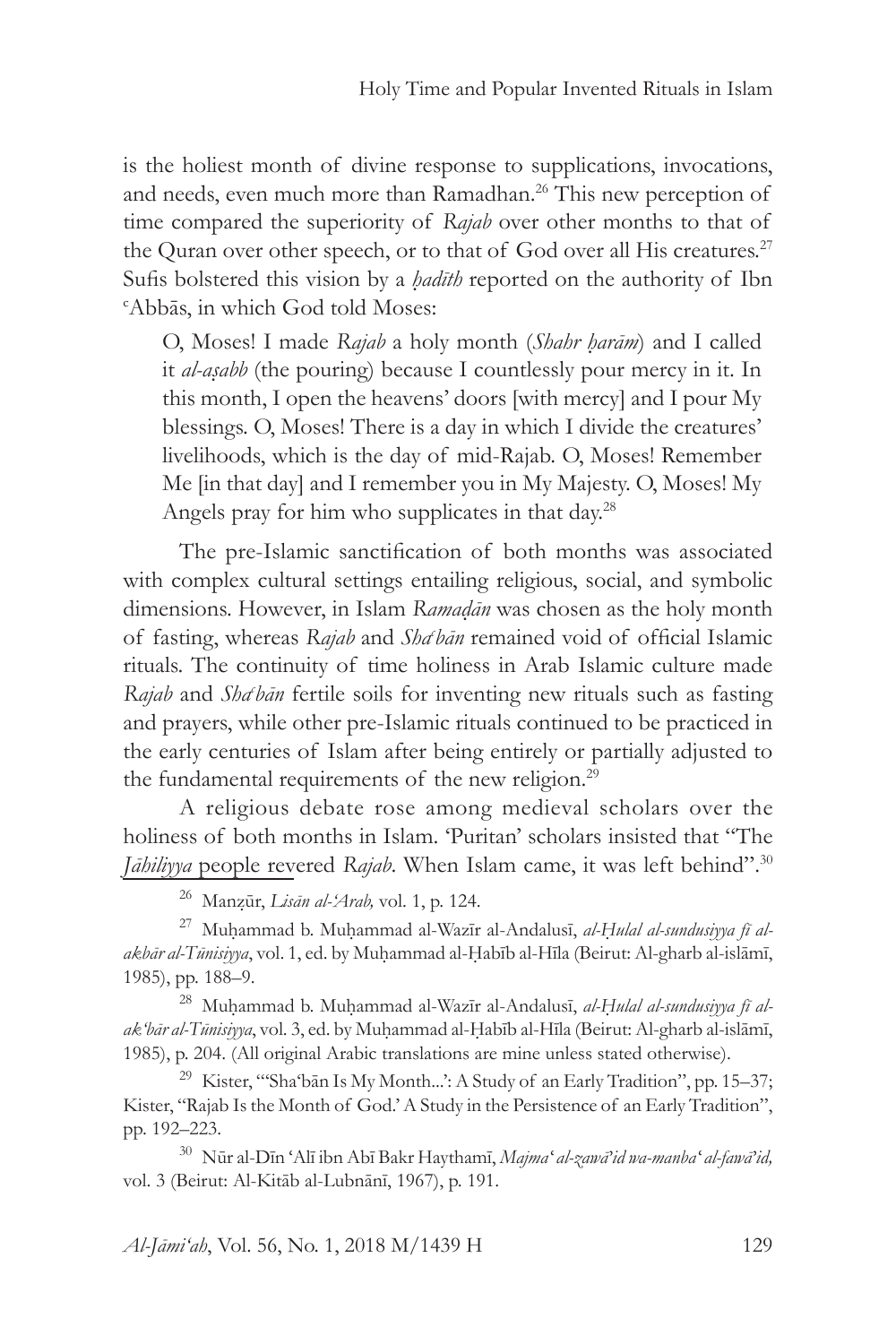is the holiest month of divine response to supplications, invocations, and needs, even much more than Ramadhan.<sup>26</sup> This new perception of time compared the superiority of *Rajab* over other months to that of the Quran over other speech, or to that of God over all His creatures.<sup>27</sup> Sufis bolstered this vision by a *hadīth* reported on the authority of Ibn Abbās, in which God told Moses:

O, Moses! I made *Rajab* a holy month (*Shahr ḥarām*) and I called it *al-aṣabb* (the pouring) because I countlessly pour mercy in it. In this month, I open the heavens' doors [with mercy] and I pour My blessings. O, Moses! There is a day in which I divide the creatures' livelihoods, which is the day of mid-Rajab. O, Moses! Remember Me [in that day] and I remember you in My Majesty. O, Moses! My Angels pray for him who supplicates in that day.<sup>28</sup>

The pre-Islamic sanctification of both months was associated with complex cultural settings entailing religious, social, and symbolic dimensions. However, in Islam *Ramaḍān* was chosen as the holy month of fasting, whereas Rajab and Sha bān remained void of official Islamic rituals. The continuity of time holiness in Arab Islamic culture made *Rajab* and *Shac bān* fertile soils for inventing new rituals such as fasting and prayers, while other pre-Islamic rituals continued to be practiced in the early centuries of Islam after being entirely or partially adjusted to the fundamental requirements of the new religion.<sup>29</sup>

A religious debate rose among medieval scholars over the holiness of both months in Islam. 'Puritan' scholars insisted that "The *Jāhiliyya* people revered *Rajab*. When Islam came, it was left behind".<sup>30</sup>

<sup>26</sup> Manẓūr, *Lisān al-'Arab,* vol. 1, p. 124.

<sup>27</sup> Muḥammad b. Muḥammad al-Wazīr al-Andalusī, *al-Ḥulal al-sundusiyya fī alakbār al-Tūnisiyya*, vol. 1, ed. by Muḥammad al-Ḥabīb al-Hīla (Beirut: Al-gharb al-islāmī, 1985), pp. 188–9.

<sup>28</sup> Muḥammad b. Muḥammad al-Wazīr al-Andalusī, *al-Ḥulal al-sundusiyya fī alak'bār al-Tūnisiyya*, vol. 3, ed. by Muḥammad al-Ḥabīb al-Hīla (Beirut: Al-gharb al-islāmī, 1985), p. 204. (All original Arabic translations are mine unless stated otherwise).

<sup>29</sup> Kister, "'Sha'bān Is My Month...': A Study of an Early Tradition", pp. 15–37; Kister, "Rajab Is the Month of God.' A Study in the Persistence of an Early Tradition", pp. 192–223.

<sup>30</sup> Nūr al-Dīn ʻAlī ibn Abī Bakr Haythamī, *Majmaʻ al-zawā'id wa-manbaʻ al-fawā'id,* vol. 3 (Beirut: Al-Kitāb al-Lubnānī, 1967), p. 191.

*Al-Jāmi'ah*, Vol. 56, No. 1, 2018 M/1439 H 129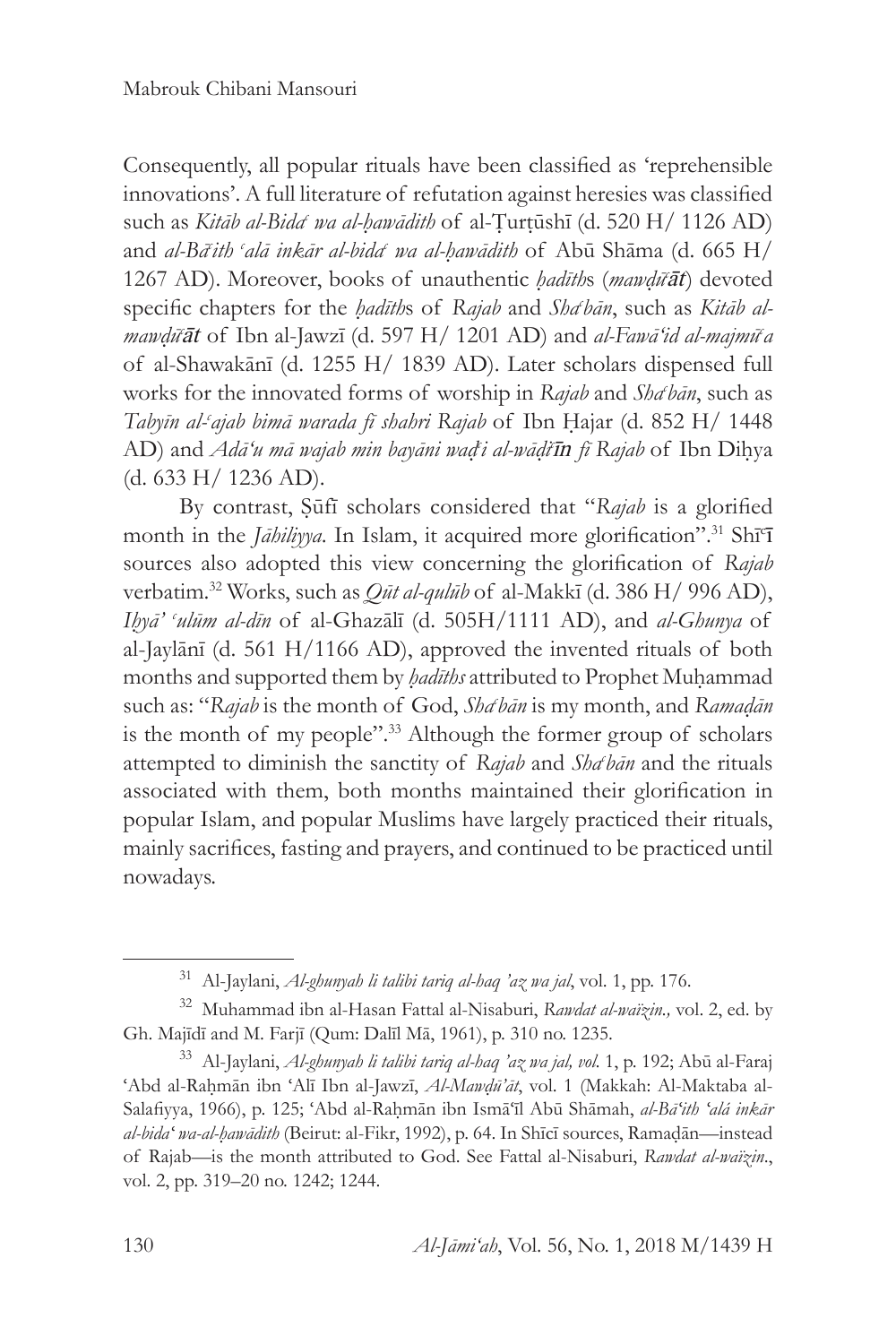Consequently, all popular rituals have been classified as 'reprehensible innovations'. A full literature of refutation against heresies was classified such as *Kitāb al-Bida<sup>c</sup> wa al-ḥawādith* of al-Ṭurṭūshī (d. 520 H/ 1126 AD) and *al-Bā<sup>c</sup> ith c alā inkār al-bida<sup>c</sup> wa al-ḥawādith* of Abū Shāma (d. 665 H/ 1267 AD). Moreover, books of unauthentic *ḥadīth*s (*mawḍū<sup>c</sup> āt*) devoted specific chapters for the *hadīth*s of *Rajab* and *Sha*<sup>t</sup>ban, such as *Kitab almawḍū<sup>c</sup> āt* of Ibn al-Jawzī (d. 597 H/ 1201 AD) and *al-Fawā'id al-majmū<sup>c</sup> a* of al-Shawakānī (d. 1255 H/ 1839 AD). Later scholars dispensed full works for the innovated forms of worship in *Rajab* and *Shabān*, such as *Tabyīn al-<sup>c</sup> ajab bimā warada fī shahri Rajab* of Ibn Ḥajar (d. 852 H/ 1448 AD) and *Adā'u mā wajab min bayāni waḍ<sup>c</sup> i al-wāḍi<sup>c</sup> īn fī Rajab* of Ibn Diḥya (d. 633 H/ 1236 AD).

By contrast, Ṣūfī scholars considered that "*Rajab* is a glorified month in the *Jāhiliyya*. In Islam, it acquired more glorification".<sup>31</sup> Shī<sup>c</sup>ī sources also adopted this view concerning the glorification of *Rajab* verbatim.32 Works, such as *Qūt al-qulūb* of al-Makkī (d. 386 H/ 996 AD), *Iḥyā' <sup>c</sup> ulūm al-dīn* of al-Ghazālī (d. 505H/1111 AD), and *al-Ghunya* of al-Jaylānī (d. 561 H/1166 AD), approved the invented rituals of both months and supported them by *hadīths* attributed to Prophet Muhammad such as: "*Rajab* is the month of God, *Shac bān* is my month, and *Ramaḍān* is the month of my people".33 Although the former group of scholars attempted to diminish the sanctity of *Rajab* and *Shac bān* and the rituals associated with them, both months maintained their glorification in popular Islam, and popular Muslims have largely practiced their rituals, mainly sacrifices, fasting and prayers, and continued to be practiced until nowadays.

<sup>31</sup> Al-Jaylani, *Al-ghunyah li talibi tariq al-haq 'az wa jal*, vol. 1, pp. 176.

<sup>32</sup> Muhammad ibn al-Hasan Fattal al-Nisaburi, *Rawdat al-waïzin.,* vol. 2, ed. by Gh. Majīdī and M. Farjī (Qum: Dalīl Mā, 1961), p. 310 no. 1235.

<sup>33</sup> Al-Jaylani, *Al-ghunyah li talibi tariq al-haq 'az wa jal, vol.* 1, p. 192; Abū al-Faraj ʻAbd al-Raḥmān ibn ʻAlī Ibn al-Jawzī, *Al-Mawḍū'āt*, vol. 1 (Makkah: Al-Maktaba al-Salafiyya, 1966), p. 125; ʻAbd al-Raḥmān ibn Ismāʻīl Abū Shāmah, *al-Bāʻith ʻalá inkār al-bidaʻ wa-al-ḥawādith* (Beirut: al-Fikr, 1992), p. 64. In Shīcī sources, Ramaḍān—instead of Rajab—is the month attributed to God. See Fattal al-Nisaburi, *Rawdat al-waïzin*., vol. 2, pp. 319–20 no. 1242; 1244.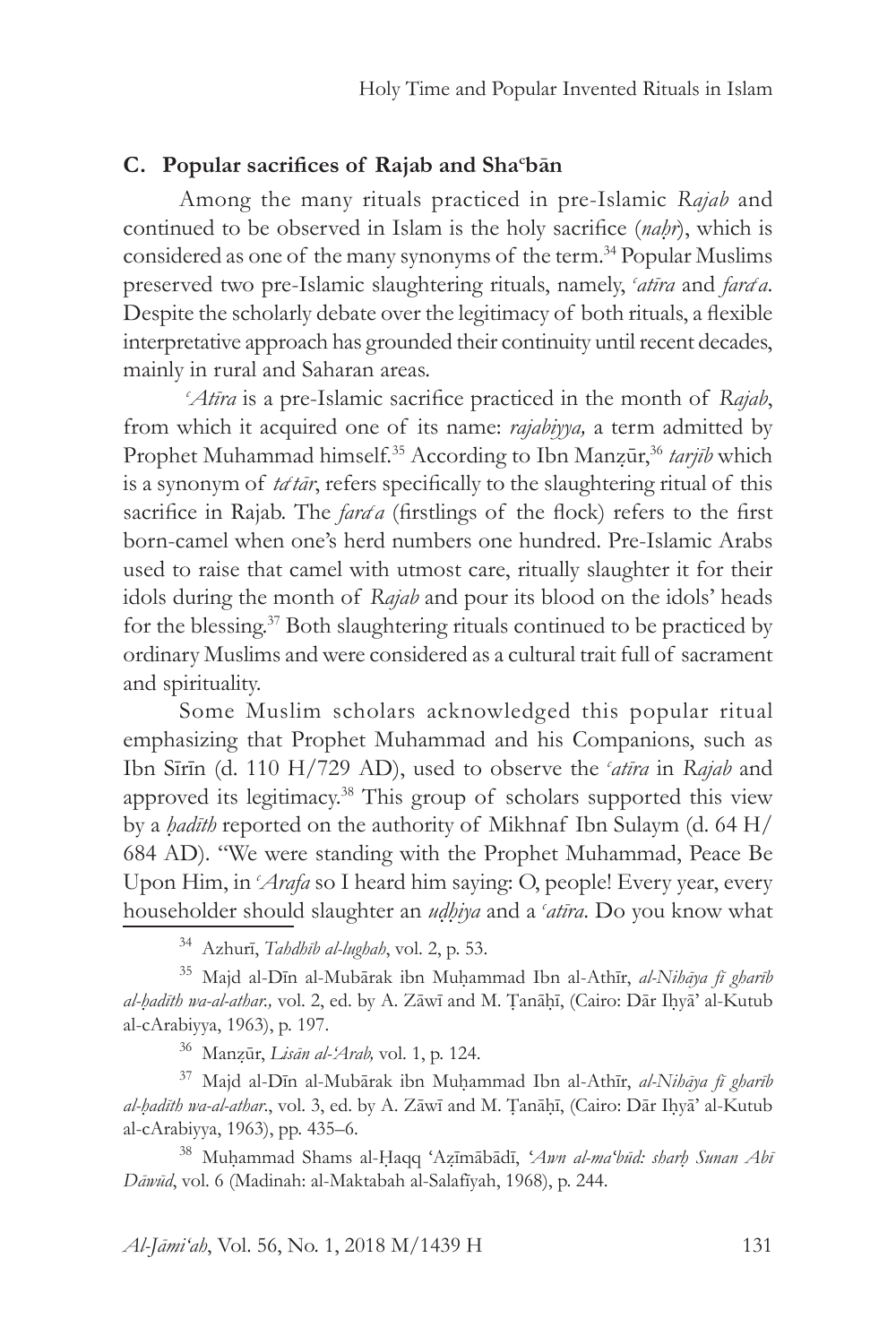# **C. Popular sacrifices of Rajab and Sha<sup>c</sup> bān**

Among the many rituals practiced in pre-Islamic *Rajab* and continued to be observed in Islam is the holy sacrifice (*naḥr*), which is considered as one of the many synonyms of the term.34 Popular Muslims preserved two pre-Islamic slaughtering rituals, namely, 'atīra and farda. Despite the scholarly debate over the legitimacy of both rituals, a flexible interpretative approach has grounded their continuity until recent decades, mainly in rural and Saharan areas.

*c Atīra* is a pre-Islamic sacrifice practiced in the month of *Rajab*, from which it acquired one of its name: *rajabiyya,* a term admitted by Prophet Muhammad himself.<sup>35</sup> According to Ibn Manzūr,<sup>36</sup> tarjīb which is a synonym of *tatār*, refers specifically to the slaughtering ritual of this sacrifice in Rajab. The *farda* (firstlings of the flock) refers to the first born-camel when one's herd numbers one hundred. Pre-Islamic Arabs used to raise that camel with utmost care, ritually slaughter it for their idols during the month of *Rajab* and pour its blood on the idols' heads for the blessing.37 Both slaughtering rituals continued to be practiced by ordinary Muslims and were considered as a cultural trait full of sacrament and spirituality.

Some Muslim scholars acknowledged this popular ritual emphasizing that Prophet Muhammad and his Companions, such as Ibn Sīrīn (d. 110 H/729 AD), used to observe the *<sup>c</sup> atīra* in *Rajab* and approved its legitimacy.<sup>38</sup> This group of scholars supported this view by a *ḥadīth* reported on the authority of Mikhnaf Ibn Sulaym (d. 64 H/ 684 AD). "We were standing with the Prophet Muhammad, Peace Be Upon Him, in *Arafa* so I heard him saying: O, people! Every year, every householder should slaughter an *uḍḥiya* and a *<sup>c</sup> atīra*. Do you know what

<sup>34</sup> Azhurī, *Tahdhīb al-lughah*, vol. 2, p. 53.

<sup>35</sup> Majd al-Dīn al-Mubārak ibn Muḥammad Ibn al-Athīr, *al-Nihāya fī gharīb al-ḥadīth wa-al-athar.,* vol. 2, ed. by A. Zāwī and M. Ṭanāḥī, (Cairo: Dār Iḥyā' al-Kutub al-cArabiyya, 1963), p. 197.

<sup>36</sup> Manẓūr, *Lisān al-'Arab,* vol. 1, p. 124.

<sup>37</sup> Majd al-Dīn al-Mubārak ibn Muḥammad Ibn al-Athīr, *al-Nihāya fī gharīb al-ḥadīth wa-al-athar*., vol. 3, ed. by A. Zāwī and M. Ṭanāḥī, (Cairo: Dār Iḥyā' al-Kutub al-cArabiyya, 1963), pp. 435–6.

<sup>38</sup> Muḥammad Shams al-Ḥaqq ʻAẓīmābādī, *ʻAwn al-maʻbūd: sharḥ Sunan Abī Dāwūd*, vol. 6 (Madinah: al-Maktabah al-Salafīyah, 1968), p. 244.

*Al-Jāmi'ah*, Vol. 56, No. 1, 2018 M/1439 H 131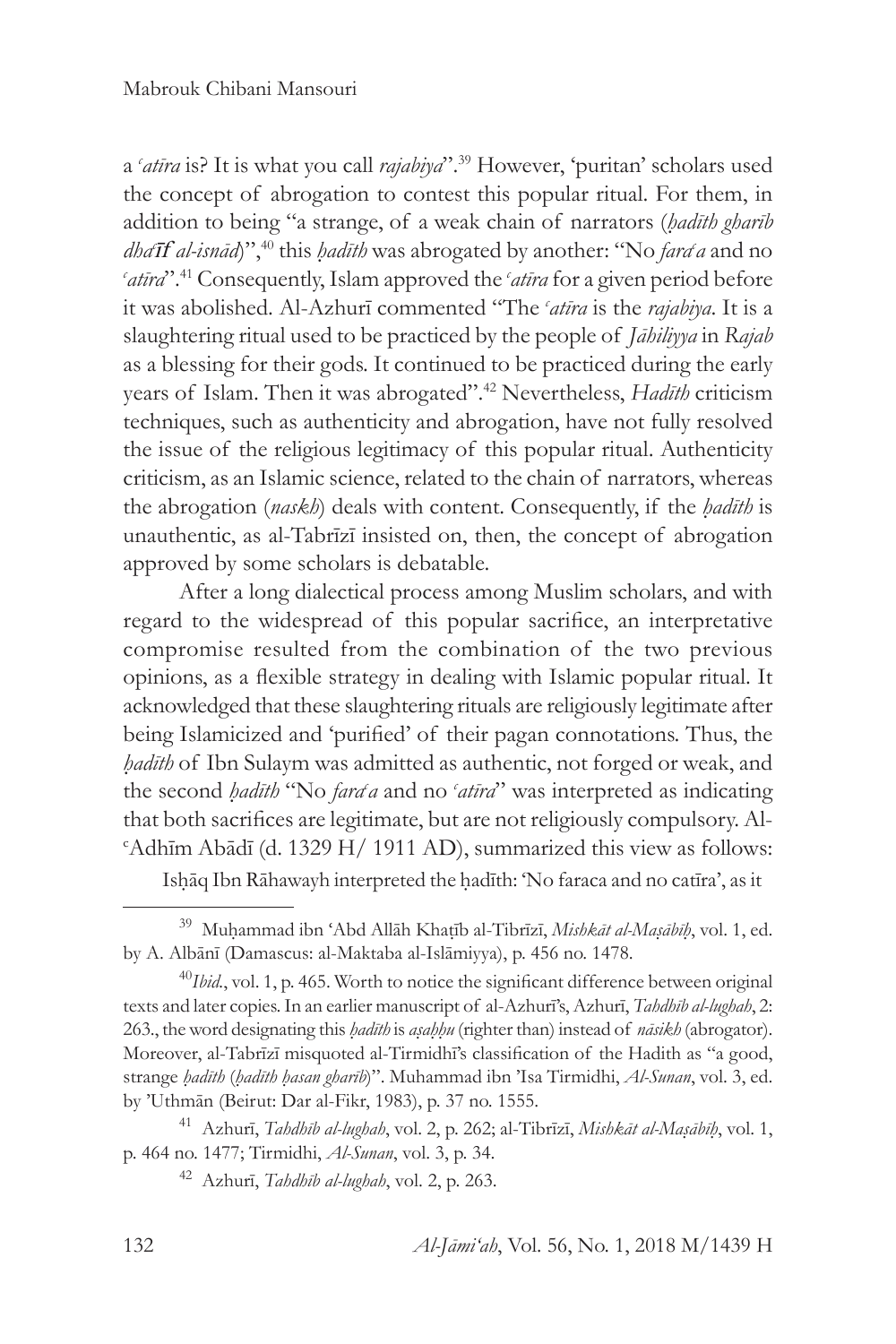a *c atīra* is? It is what you call *rajabiya*".<sup>39</sup> However, 'puritan' scholars used the concept of abrogation to contest this popular ritual. For them, in addition to being "a strange, of a weak chain of narrators (*ḥadīth gharīb dha<sup>r</sup>if al-isnād*)",<sup>40</sup> this *ḥadīth* was abrogated by another: "No *fara<sup>c</sup>a* and no *c atīra*".41 Consequently, Islam approved the *<sup>c</sup> atīra* for a given period before it was abolished. Al-Azhurī commented "The *<sup>c</sup> atīra* is the *rajabiya*. It is a slaughtering ritual used to be practiced by the people of *Jāhiliyya* in *Rajab* as a blessing for their gods. It continued to be practiced during the early years of Islam. Then it was abrogated".42 Nevertheless, *Hadīth* criticism techniques, such as authenticity and abrogation, have not fully resolved the issue of the religious legitimacy of this popular ritual. Authenticity criticism, as an Islamic science, related to the chain of narrators, whereas the abrogation (*naskh*) deals with content. Consequently, if the *ḥadīth* is unauthentic, as al-Tabrīzī insisted on, then, the concept of abrogation approved by some scholars is debatable.

After a long dialectical process among Muslim scholars, and with regard to the widespread of this popular sacrifice, an interpretative compromise resulted from the combination of the two previous opinions, as a flexible strategy in dealing with Islamic popular ritual. It acknowledged that these slaughtering rituals are religiously legitimate after being Islamicized and 'purified' of their pagan connotations. Thus, the *ḥadīth* of Ibn Sulaym was admitted as authentic, not forged or weak, and the second *hadīth* "No *fard a* and no 'atīra" was interpreted as indicating that both sacrifices are legitimate, but are not religiously compulsory. Alc Adhīm Abādī (d. 1329 H/ 1911 AD), summarized this view as follows:

Isḥāq Ibn Rāhawayh interpreted the ḥadīth: 'No faraca and no catīra', as it

<sup>39</sup> Muḥammad ibn ʻAbd Allāh Khaṭīb al-Tibrīzī, *Mishkāt al-Maṣābīḥ*, vol. 1, ed. by A. Albānī (Damascus: al-Maktaba al-Islāmiyya), p. 456 no. 1478.

<sup>&</sup>lt;sup>40</sup>*Ibid.*, vol. 1, p. 465. Worth to notice the significant difference between original texts and later copies. In an earlier manuscript of al-Azhurī's, Azhurī, *Tahdhīb al-lughah*, 2: 263., the word designating this *ḥadīth* is *aṣaḥḥu* (righter than) instead of *nāsikh* (abrogator). Moreover, al-Tabrīzī misquoted al-Tirmidhī's classification of the Hadith as "a good, strange *ḥadīth* (*ḥadīth ḥasan gharīb*)". Muhammad ibn 'Isa Tirmidhi, *Al-Sunan*, vol. 3, ed. by 'Uthmān (Beirut: Dar al-Fikr, 1983), p. 37 no. 1555.

<sup>41</sup> Azhurī, *Tahdhīb al-lughah*, vol. 2, p. 262; al-Tibrīzī, *Mishkāt al-Maṣābīḥ*, vol. 1, p. 464 no. 1477; Tirmidhi, *Al-Sunan*, vol. 3, p. 34.

<sup>42</sup> Azhurī, *Tahdhīb al-lughah*, vol. 2, p. 263.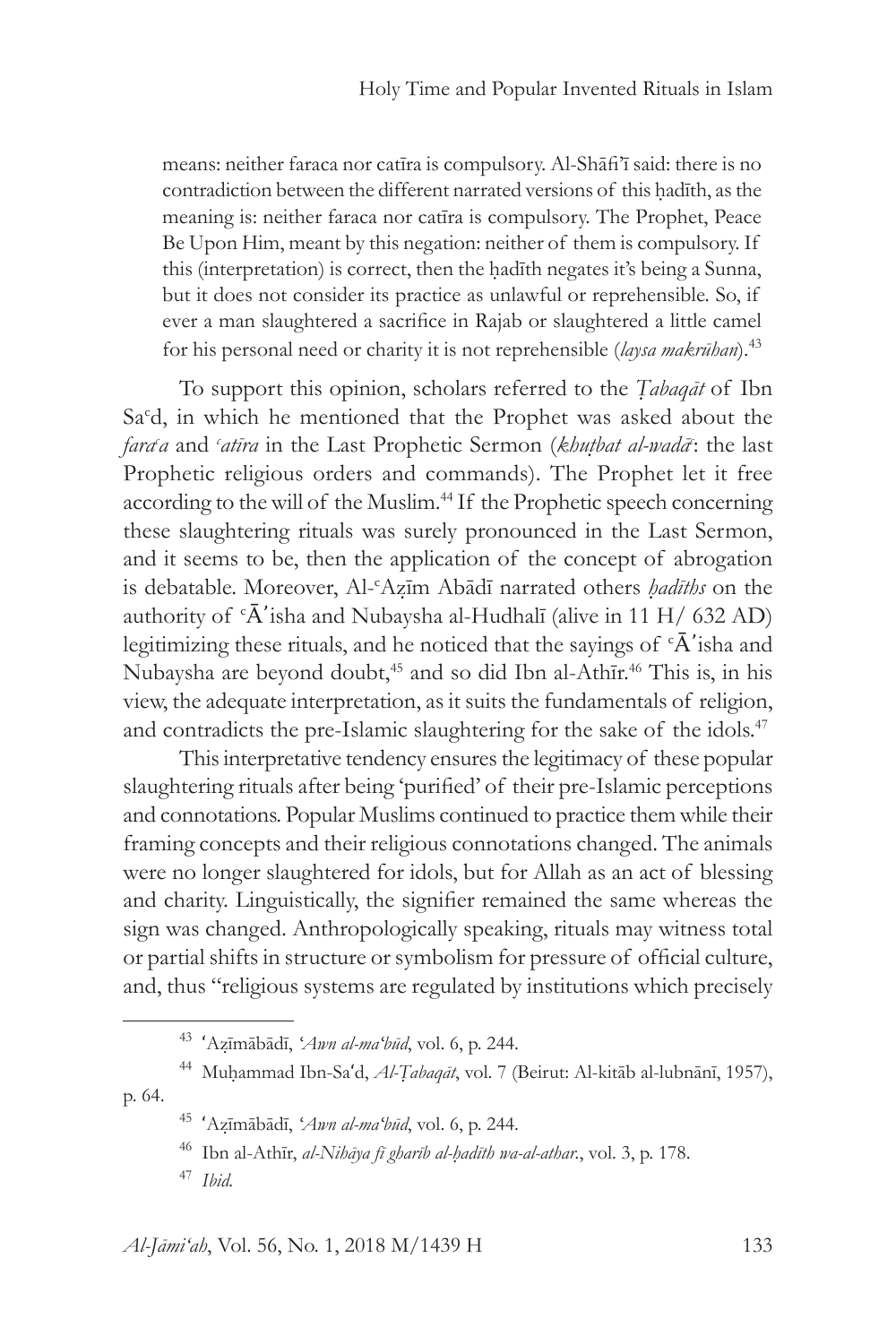means: neither faraca nor catīra is compulsory. Al-Shāfi'ī said: there is no contradiction between the different narrated versions of this hadīth, as the meaning is: neither faraca nor catīra is compulsory. The Prophet, Peace Be Upon Him, meant by this negation: neither of them is compulsory. If this (interpretation) is correct, then the ḥadīth negates it's being a Sunna, but it does not consider its practice as unlawful or reprehensible. So, if ever a man slaughtered a sacrifice in Rajab or slaughtered a little camel for his personal need or charity it is not reprehensible (*laysa makrūhan*).43

To support this opinion, scholars referred to the *Ṭabaqāt* of Ibn Sa<sup>c</sup>d, in which he mentioned that the Prophet was asked about the fara<sup>c</sup>a and 'atīra in the Last Prophetic Sermon (*khuṭbat al-wadā*<sup>-</sup>: the last Prophetic religious orders and commands). The Prophet let it free according to the will of the Muslim.<sup>44</sup> If the Prophetic speech concerning these slaughtering rituals was surely pronounced in the Last Sermon, and it seems to be, then the application of the concept of abrogation is debatable. Moreover, Al-c Aẓīm Abādī narrated others *ḥadīths* on the authority of  ${}^{\circ}$ Å'isha and Nubaysha al-Hudhalī (alive in 11 H/ 632 AD) legitimizing these rituals, and he noticed that the sayings of  $\Delta$ <sup>\*</sup>isha and Nubaysha are beyond doubt,<sup>45</sup> and so did Ibn al-Athīr.<sup>46</sup> This is, in his view, the adequate interpretation, as it suits the fundamentals of religion, and contradicts the pre-Islamic slaughtering for the sake of the idols.<sup>47</sup>

This interpretative tendency ensures the legitimacy of these popular slaughtering rituals after being 'purified' of their pre-Islamic perceptions and connotations. Popular Muslims continued to practice them while their framing concepts and their religious connotations changed. The animals were no longer slaughtered for idols, but for Allah as an act of blessing and charity. Linguistically, the signifier remained the same whereas the sign was changed. Anthropologically speaking, rituals may witness total or partial shifts in structure or symbolism for pressure of official culture, and, thus "religious systems are regulated by institutions which precisely

<sup>43</sup> ʻAẓīmābādī, *ʻAwn al-maʻbūd*, vol. 6, p. 244.

<sup>44</sup> Muḥammad Ibn-Saʻd, *Al-Ṭabaqāt*, vol. 7 (Beirut: Al-kitāb al-lubnānī, 1957), p. 64.

<sup>45</sup> ʻAẓīmābādī, *ʻAwn al-maʻbūd*, vol. 6, p. 244.

<sup>46</sup> Ibn al-Athīr, *al-Nihāya fī gharīb al-ḥadīth wa-al-athar.*, vol. 3, p. 178.

<sup>47</sup> *Ibid.*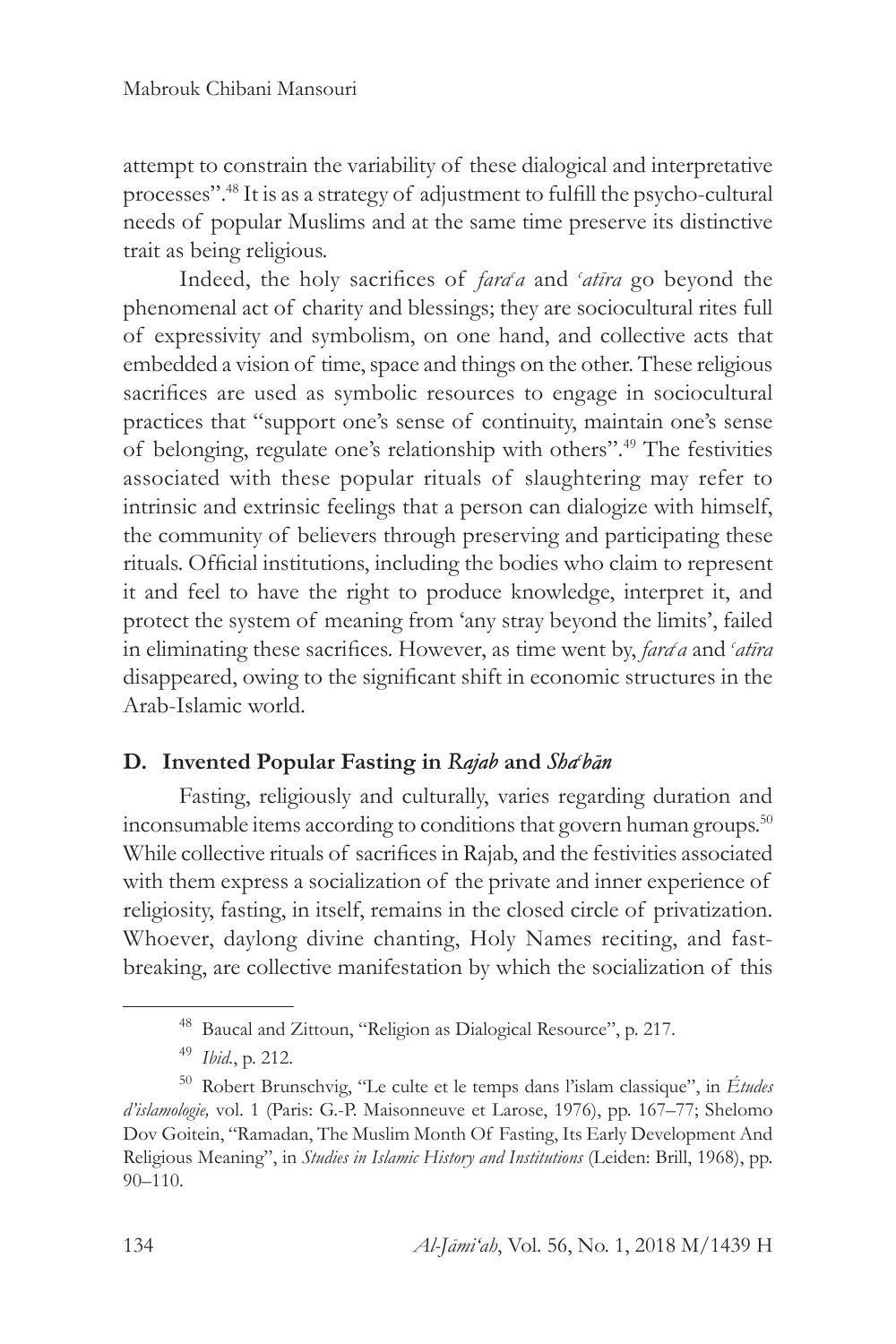attempt to constrain the variability of these dialogical and interpretative processes".48 It is as a strategy of adjustment to fulfill the psycho-cultural needs of popular Muslims and at the same time preserve its distinctive trait as being religious.

Indeed, the holy sacrifices of *fara<sup>ca*</sup> and 'atira</sup> go beyond the phenomenal act of charity and blessings; they are sociocultural rites full of expressivity and symbolism, on one hand, and collective acts that embedded a vision of time, space and things on the other. These religious sacrifices are used as symbolic resources to engage in sociocultural practices that "support one's sense of continuity, maintain one's sense of belonging, regulate one's relationship with others".49 The festivities associated with these popular rituals of slaughtering may refer to intrinsic and extrinsic feelings that a person can dialogize with himself, the community of believers through preserving and participating these rituals. Official institutions, including the bodies who claim to represent it and feel to have the right to produce knowledge, interpret it, and protect the system of meaning from 'any stray beyond the limits', failed in eliminating these sacrifices. However, as time went by, *farac a* and *<sup>c</sup> atīra* disappeared, owing to the significant shift in economic structures in the Arab-Islamic world.

# **D. Invented Popular Fasting in** *Rajab* **and** *Shac bān*

Fasting, religiously and culturally, varies regarding duration and inconsumable items according to conditions that govern human groups.<sup>50</sup> While collective rituals of sacrifices in Rajab, and the festivities associated with them express a socialization of the private and inner experience of religiosity, fasting, in itself, remains in the closed circle of privatization. Whoever, daylong divine chanting, Holy Names reciting, and fastbreaking, are collective manifestation by which the socialization of this

<sup>48</sup> Baucal and Zittoun, "Religion as Dialogical Resource", p. 217.

<sup>49</sup> *Ibid.*, p. 212.

<sup>50</sup> Robert Brunschvig, "Le culte et le temps dans l'islam classique", in *Études d'islamologie,* vol. 1 (Paris: G.-P. Maisonneuve et Larose, 1976), pp. 167–77; Shelomo Dov Goitein, "Ramadan, The Muslim Month Of Fasting, Its Early Development And Religious Meaning", in *Studies in Islamic History and Institutions* (Leiden: Brill, 1968), pp. 90–110.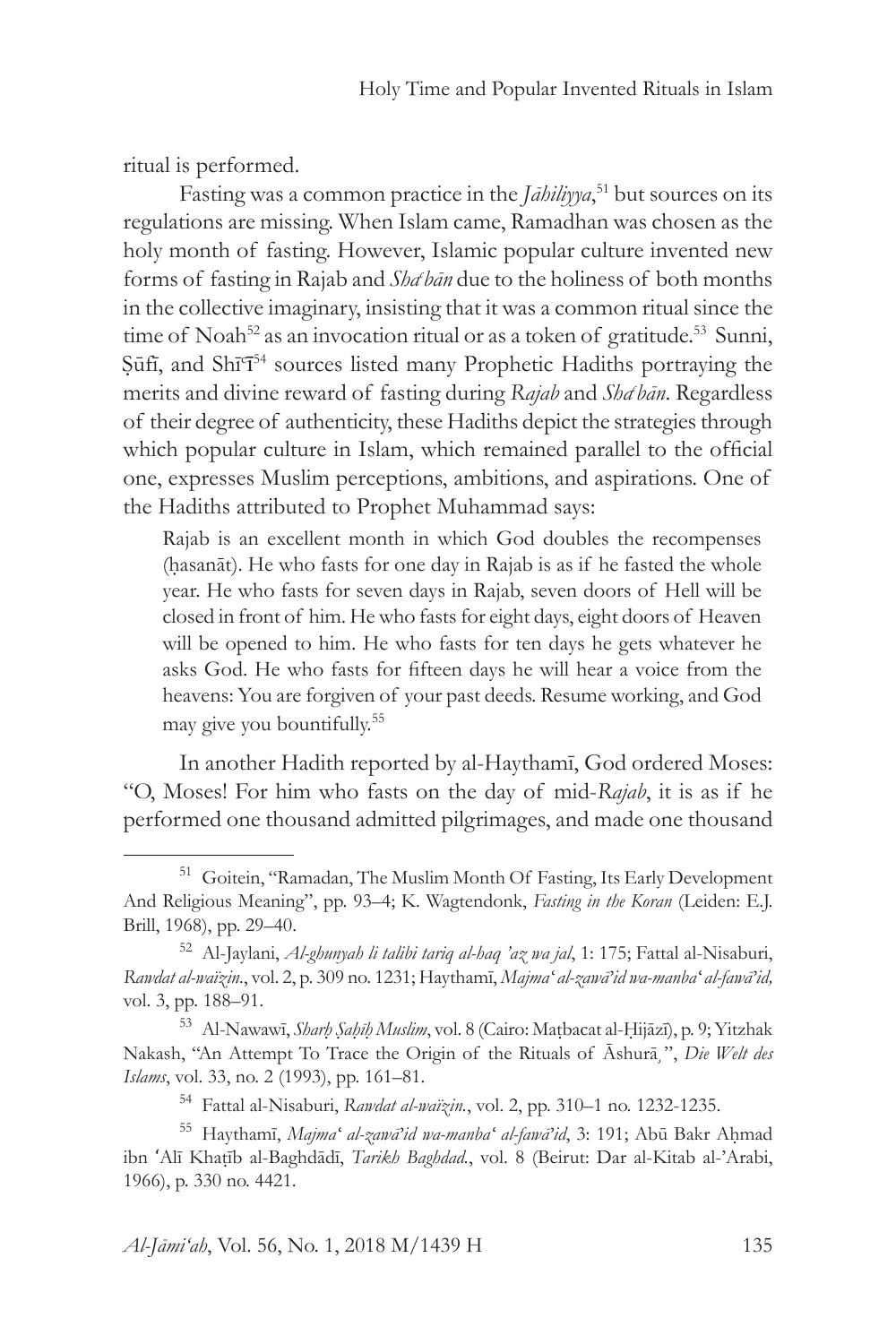ritual is performed.

Fasting was a common practice in the *Jāhiliyya*, 51 but sources on its regulations are missing. When Islam came, Ramadhan was chosen as the holy month of fasting. However, Islamic popular culture invented new forms of fasting in Rajab and *Sha bān* due to the holiness of both months in the collective imaginary, insisting that it was a common ritual since the time of Noah<sup>52</sup> as an invocation ritual or as a token of gratitude.<sup>53</sup> Sunni, Şūfī, and Shī<sup>c</sup>ī<sup>54</sup> sources listed many Prophetic Hadiths portraying the merits and divine reward of fasting during *Rajab* and *Shac bān*. Regardless of their degree of authenticity, these Hadiths depict the strategies through which popular culture in Islam, which remained parallel to the official one, expresses Muslim perceptions, ambitions, and aspirations. One of the Hadiths attributed to Prophet Muhammad says:

Rajab is an excellent month in which God doubles the recompenses (ḥasanāt). He who fasts for one day in Rajab is as if he fasted the whole year. He who fasts for seven days in Rajab, seven doors of Hell will be closed in front of him. He who fasts for eight days, eight doors of Heaven will be opened to him. He who fasts for ten days he gets whatever he asks God. He who fasts for fifteen days he will hear a voice from the heavens: You are forgiven of your past deeds. Resume working, and God may give you bountifully.<sup>55</sup>

In another Hadith reported by al-Haythamī, God ordered Moses: "O, Moses! For him who fasts on the day of mid-*Rajab*, it is as if he performed one thousand admitted pilgrimages, and made one thousand

<sup>51</sup> Goitein, "Ramadan, The Muslim Month Of Fasting, Its Early Development And Religious Meaning", pp. 93–4; K. Wagtendonk, *Fasting in the Koran* (Leiden: E.J. Brill, 1968), pp. 29–40.

<sup>52</sup> Al-Jaylani, *Al-ghunyah li talibi tariq al-haq 'az wa jal*, 1: 175; Fattal al-Nisaburi, *Rawdat al-waïzin.*, vol. 2, p. 309 no. 1231; Haythamī, *Majmaʻ al-zawā'id wa-manbaʻ al-fawā'id,* vol. 3, pp. 188–91.

<sup>53</sup> Al-Nawawī, *Sharḥ Ṣaḥīḥ Muslim*, vol. 8 (Cairo: Maṭbacat al-Ḥijāzī), p. 9; Yitzhak Nakash, "An Attempt To Trace the Origin of the Rituals of Āshurā,", Die Welt des *Islams*, vol. 33, no. 2 (1993), pp. 161–81.

<sup>54</sup> Fattal al-Nisaburi, *Rawdat al-waïzin.*, vol. 2, pp. 310–1 no. 1232-1235.

<sup>55</sup> Haythamī, *Majmaʻ al-zawā'id wa-manbaʻ al-fawā'id*, 3: 191; Abū Bakr Aḥmad ibn ʻAlī Khaṭīb al-Baghdādī, *Tarikh Baghdad.*, vol. 8 (Beirut: Dar al-Kitab al-'Arabi, 1966), p. 330 no. 4421.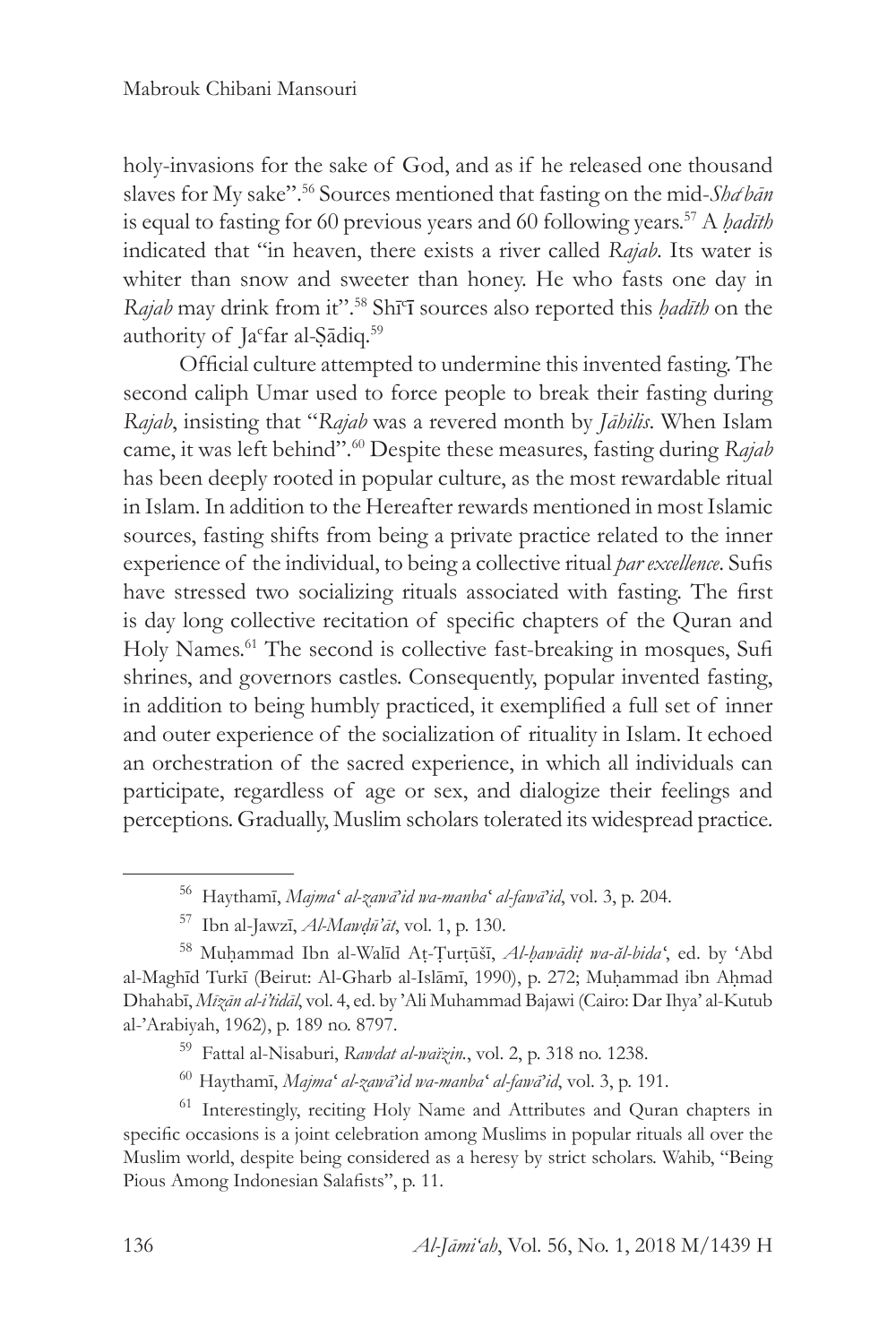holy-invasions for the sake of God, and as if he released one thousand slaves for My sake".<sup>56</sup> Sources mentioned that fasting on the mid-Sha<sup>ch</sup>han is equal to fasting for 60 previous years and 60 following years.57 A *ḥadīth* indicated that "in heaven, there exists a river called *Rajab*. Its water is whiter than snow and sweeter than honey. He who fasts one day in *Rajab* may drink from it".58 Shī<sup>c</sup> ī sources also reported this *ḥadīth* on the authority of Ja<sup>c</sup>far al-Ṣādiq.<sup>59</sup>

Official culture attempted to undermine this invented fasting. The second caliph Umar used to force people to break their fasting during *Rajab*, insisting that "*Rajab* was a revered month by *Jāhilis*. When Islam came, it was left behind".60 Despite these measures, fasting during *Rajab* has been deeply rooted in popular culture, as the most rewardable ritual in Islam. In addition to the Hereafter rewards mentioned in most Islamic sources, fasting shifts from being a private practice related to the inner experience of the individual, to being a collective ritual *par excellence*. Sufis have stressed two socializing rituals associated with fasting. The first is day long collective recitation of specific chapters of the Quran and Holy Names.<sup>61</sup> The second is collective fast-breaking in mosques, Sufi shrines, and governors castles. Consequently, popular invented fasting, in addition to being humbly practiced, it exemplified a full set of inner and outer experience of the socialization of rituality in Islam. It echoed an orchestration of the sacred experience, in which all individuals can participate, regardless of age or sex, and dialogize their feelings and perceptions. Gradually, Muslim scholars tolerated its widespread practice.

<sup>61</sup> Interestingly, reciting Holy Name and Attributes and Quran chapters in specific occasions is a joint celebration among Muslims in popular rituals all over the Muslim world, despite being considered as a heresy by strict scholars. Wahib, "Being Pious Among Indonesian Salafists", p. 11.

<sup>56</sup> Haythamī, *Majmaʻ al-zawā'id wa-manbaʻ al-fawā'id*, vol. 3, p. 204.

<sup>57</sup> Ibn al-Jawzī, *Al-Mawḍū'āt*, vol. 1, p. 130.

<sup>58</sup> Muḥammad Ibn al-Walīd Aṭ-Ṭurṭūšī, *Al-ḥawādiṭ wa-ăl-bidaʻ*, ed. by ʻAbd al-Maghīd Turkī (Beirut: Al-Gharb al-Islāmī, 1990), p. 272; Muḥammad ibn Aḥmad Dhahabī, *Mīzān al-i'tidāl*, vol. 4, ed. by 'Ali Muhammad Bajawi (Cairo: Dar Ihya' al-Kutub al-'Arabiyah, 1962), p. 189 no. 8797.

<sup>59</sup> Fattal al-Nisaburi, *Rawdat al-waïzin.*, vol. 2, p. 318 no. 1238.

<sup>60</sup> Haythamī, *Majmaʻ al-zawā'id wa-manbaʻ al-fawā'id*, vol. 3, p. 191.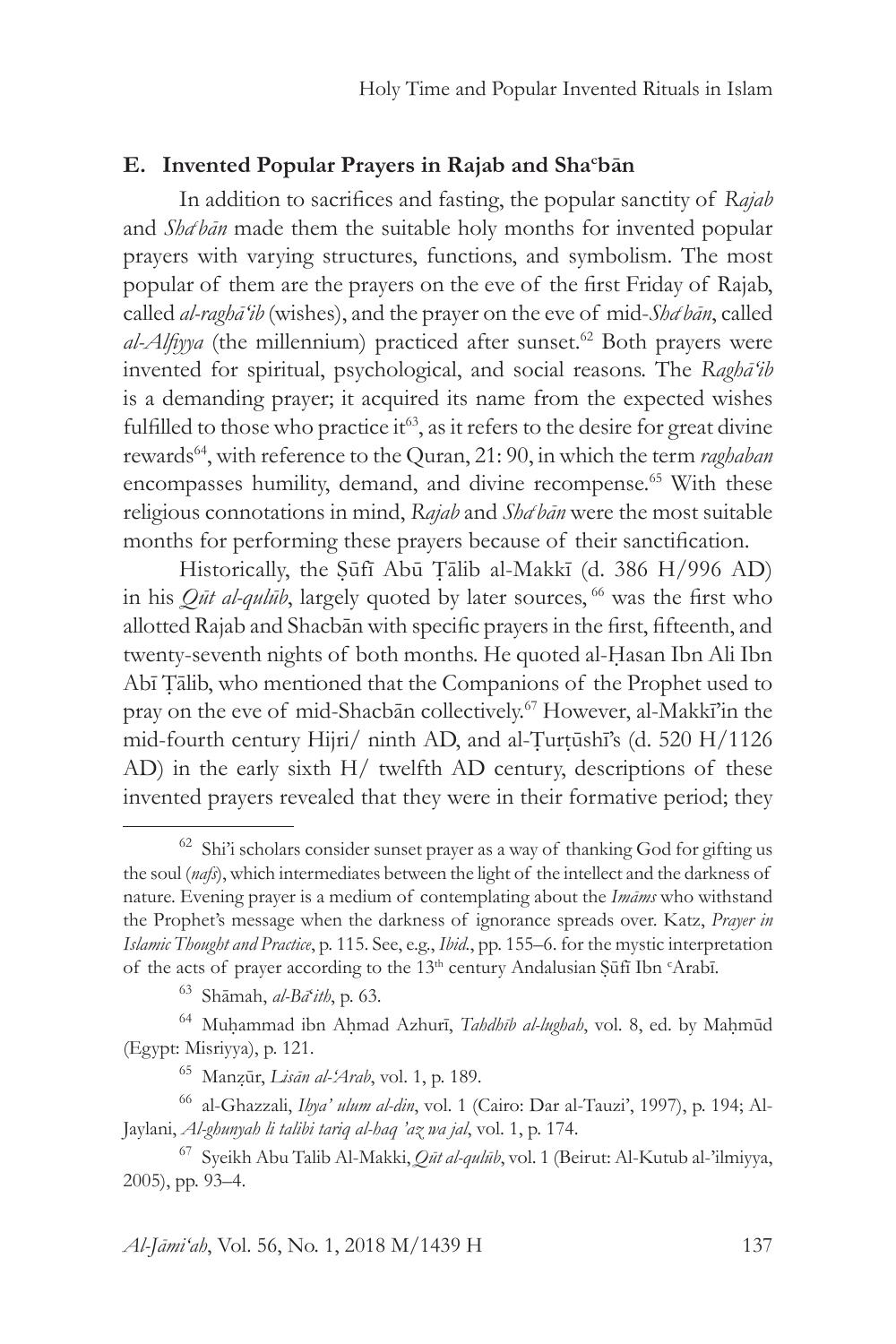# **E. Invented Popular Prayers in Rajab and Sha<sup>c</sup> bān**

In addition to sacrifices and fasting, the popular sanctity of *Rajab* and *Sha<sup>chan*</sup> made them the suitable holy months for invented popular prayers with varying structures, functions, and symbolism. The most popular of them are the prayers on the eve of the first Friday of Rajab, called *al-raghā'ib* (wishes), and the prayer on the eve of mid-*Shac bān*, called *al-Alfiyya* (the millennium) practiced after sunset.<sup>62</sup> Both prayers were invented for spiritual, psychological, and social reasons. The *Raghā'ib* is a demanding prayer; it acquired its name from the expected wishes fulfilled to those who practice it<sup> $63$ </sup>, as it refers to the desire for great divine rewards64, with reference to the Quran, 21: 90, in which the term *raghaban*  encompasses humility, demand, and divine recompense.<sup>65</sup> With these religious connotations in mind, *Rajab* and *Sha'bān* were the most suitable months for performing these prayers because of their sanctification.

Historically, the Ṣūfī Abū Ṭālib al-Makkī (d. 386 H/996 AD) in his *Out al-qulub*, largely quoted by later sources, <sup>66</sup> was the first who allotted Rajab and Shacbān with specific prayers in the first, fifteenth, and twenty-seventh nights of both months. He quoted al-Ḥasan Ibn Ali Ibn Abī Ṭālib, who mentioned that the Companions of the Prophet used to pray on the eve of mid-Shacbān collectively.67 However, al-Makkī'in the mid-fourth century Hijri/ ninth AD, and al-Turtūshī's (d. 520 H/1126) AD) in the early sixth H/ twelfth AD century, descriptions of these invented prayers revealed that they were in their formative period; they

 $62$  Shi'i scholars consider sunset prayer as a way of thanking God for gifting us the soul (*nafs*), which intermediates between the light of the intellect and the darkness of nature. Evening prayer is a medium of contemplating about the *Imāms* who withstand the Prophet's message when the darkness of ignorance spreads over. Katz, *Prayer in Islamic Thought and Practice*, p. 115. See, e.g., *Ibid.*, pp. 155–6. for the mystic interpretation of the acts of prayer according to the 13<sup>th</sup> century Andalusian Șūfī Ibn <sup>c</sup>Arabī.

<sup>63</sup> Shāmah, *al-Bā*'*ith*, p. 63.

<sup>64</sup> Muḥammad ibn Aḥmad Azhurī, *Tahdhīb al-lughah*, vol. 8, ed. by Maḥmūd (Egypt: Misriyya), p. 121.

<sup>65</sup> Manẓūr, *Lisān al-'Arab*, vol. 1, p. 189.

<sup>66</sup> al-Ghazzali, *Ihya' ulum al-din*, vol. 1 (Cairo: Dar al-Tauzi', 1997), p. 194; Al-Jaylani, *Al-ghunyah li talibi tariq al-haq 'az wa jal*, vol. 1, p. 174.

<sup>67</sup> Syeikh Abu Talib Al-Makki, *Qūt al-qulūb*, vol. 1 (Beirut: Al-Kutub al-'ilmiyya, 2005), pp. 93–4.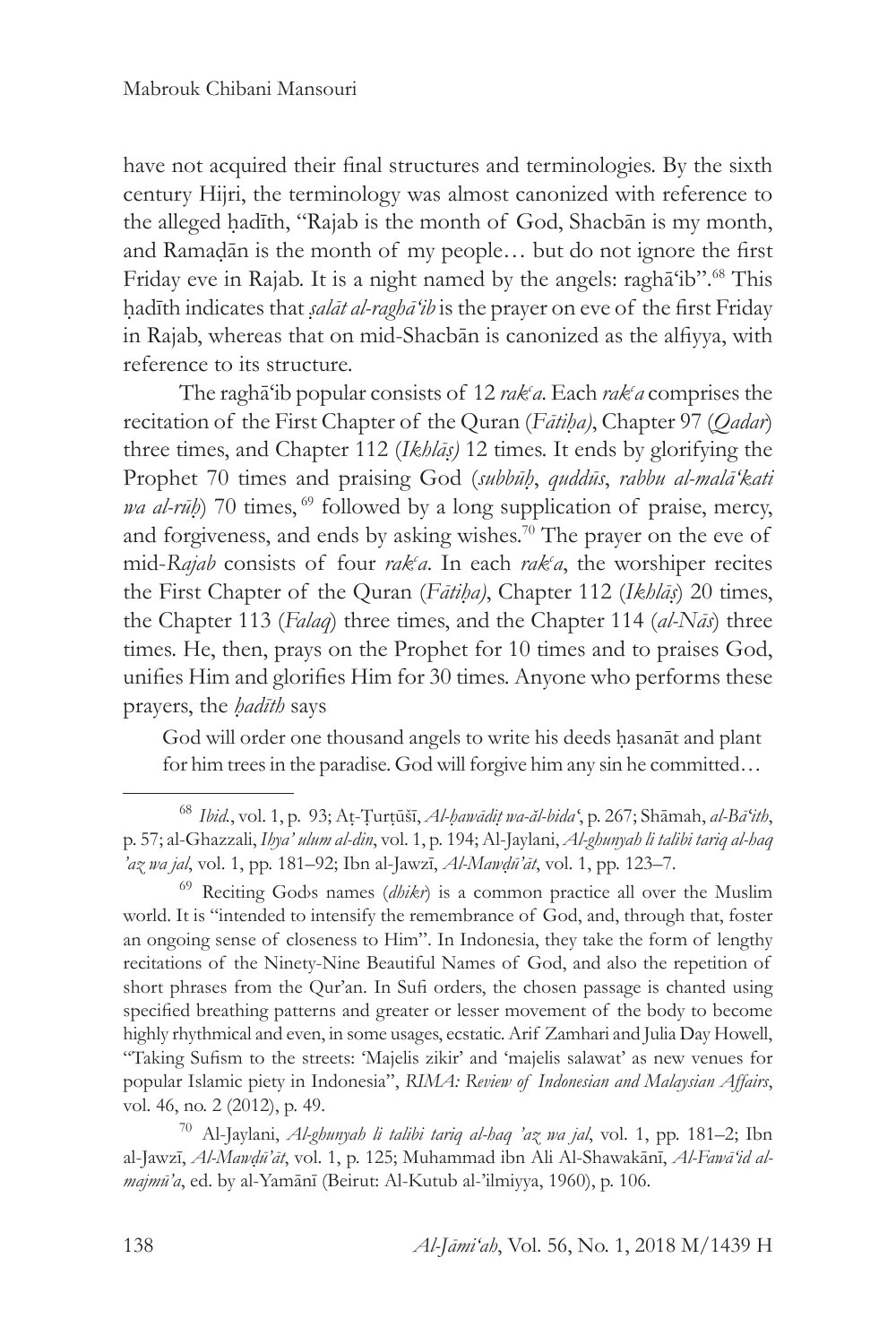have not acquired their final structures and terminologies. By the sixth century Hijri, the terminology was almost canonized with reference to the alleged hadīth, "Rajab is the month of God, Shacbān is my month, and Ramaḍān is the month of my people… but do not ignore the first Friday eve in Rajab. It is a night named by the angels: raghā'ib".68 This ḥadīth indicates that *ṣalāt al-raghā'ib* is the prayer on eve of the first Friday in Rajab, whereas that on mid-Shacbān is canonized as the alfiyya, with reference to its structure.

The ragha<sup>c</sup>ib popular consists of 12 rak<sup>c</sup>a. Each rak<sup>c</sup>a comprises the recitation of the First Chapter of the Quran (*Fātiḥa)*, Chapter 97 (*Qadar*) three times, and Chapter 112 (*Ikhlāṣ)* 12 times. It ends by glorifying the Prophet 70 times and praising God (*subbūḥ*, *quddūs*, *rabbu al-malā'kati wa al-rūh*) 70 times, <sup>69</sup> followed by a long supplication of praise, mercy, and forgiveness, and ends by asking wishes.<sup>70</sup> The prayer on the eve of mid-*Rajab* consists of four *rak<sup>c</sup>a*. In each *rak<sup>c</sup>a*, the worshiper recites the First Chapter of the Quran (*Fātiḥa)*, Chapter 112 (*Ikhlāṣ*) 20 times, the Chapter 113 (*Falaq*) three times, and the Chapter 114 (*al-Nās*) three times. He, then, prays on the Prophet for 10 times and to praises God, unifies Him and glorifies Him for 30 times. Anyone who performs these prayers, the *ḥadīth* says

God will order one thousand angels to write his deeds ḥasanāt and plant for him trees in the paradise. God will forgive him any sin he committed…

<sup>68</sup> *Ibid.*, vol. 1, p. 93; Aṭ-Ṭurṭūšī, *Al-ḥawādiṭ wa-ăl-bidaʻ*, p. 267; Shāmah, *al-Bāʻith*, p. 57; al-Ghazzali, *Ihya' ulum al-din*, vol. 1, p. 194; Al-Jaylani, *Al-ghunyah li talibi tariq al-haq 'az wa jal*, vol. 1, pp. 181–92; Ibn al-Jawzī, *Al-Mawḍū'āt*, vol. 1, pp. 123–7.

<sup>&</sup>lt;sup>69</sup> Reciting Gods names (*dhikr*) is a common practice all over the Muslim world. It is "intended to intensify the remembrance of God, and, through that, foster an ongoing sense of closeness to Him". In Indonesia, they take the form of lengthy recitations of the Ninety-Nine Beautiful Names of God, and also the repetition of short phrases from the Qur'an. In Sufi orders, the chosen passage is chanted using specified breathing patterns and greater or lesser movement of the body to become highly rhythmical and even, in some usages, ecstatic. Arif Zamhari and Julia Day Howell, "Taking Sufism to the streets: 'Majelis zikir' and 'majelis salawat' as new venues for popular Islamic piety in Indonesia", *RIMA: Review of Indonesian and Malaysian Affairs*, vol. 46, no. 2 (2012), p. 49.

<sup>70</sup> Al-Jaylani, *Al-ghunyah li talibi tariq al-haq 'az wa jal*, vol. 1, pp. 181–2; Ibn al-Jawzī, *Al-Mawḍū'āt*, vol. 1, p. 125; Muhammad ibn Ali Al-Shawakānī, *Al-Fawā'id almajmū'a*, ed. by al-Yamānī (Beirut: Al-Kutub al-'ilmiyya, 1960), p. 106.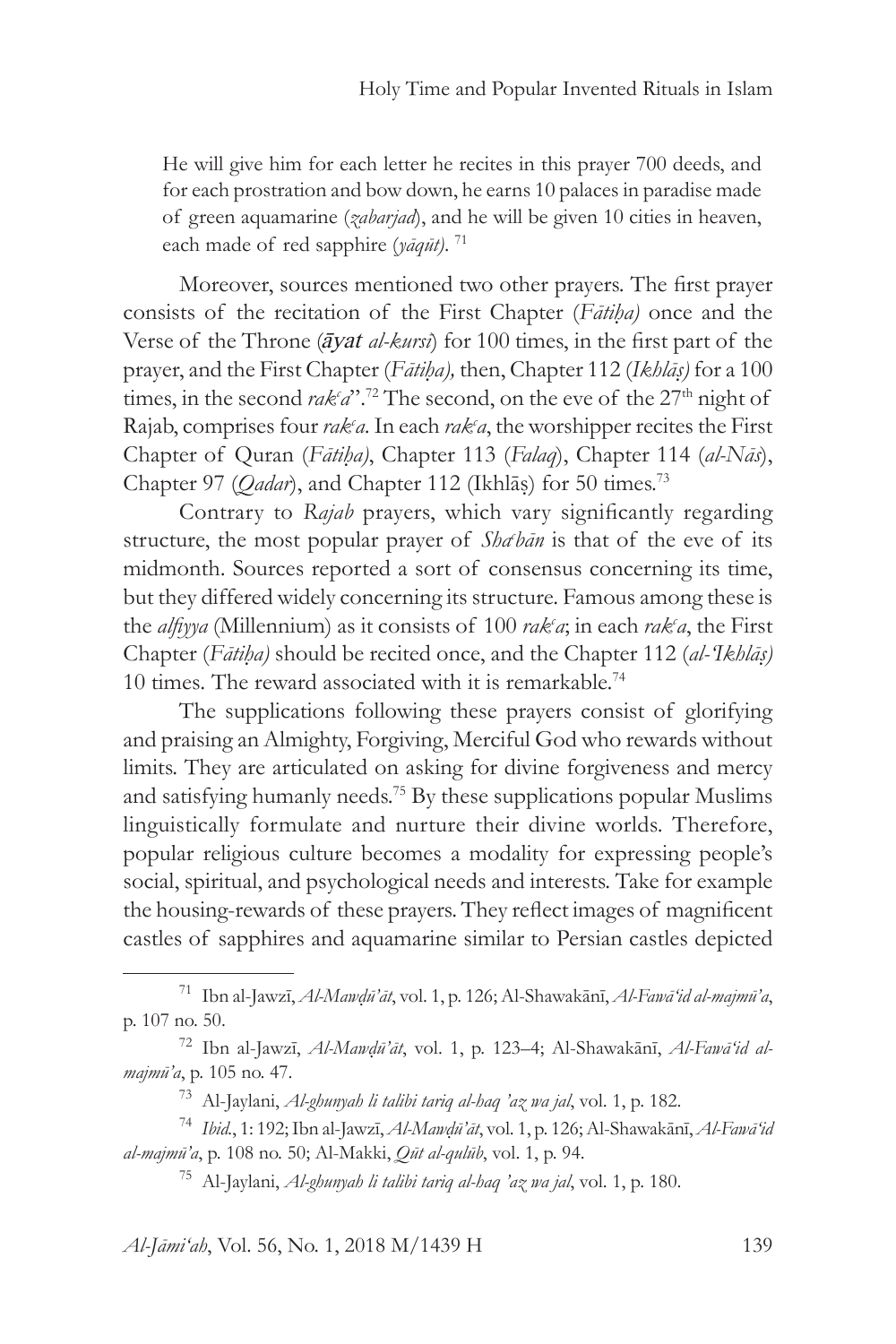He will give him for each letter he recites in this prayer 700 deeds, and for each prostration and bow down, he earns 10 palaces in paradise made of green aquamarine (*zabarjad*), and he will be given 10 cities in heaven, each made of red sapphire (*yāqūt)*. <sup>71</sup>

Moreover, sources mentioned two other prayers. The first prayer consists of the recitation of the First Chapter (*Fātiḥa)* once and the Verse of the Throne (*āyat al-kursī*) for 100 times, in the first part of the prayer, and the First Chapter (*Fātiḥa),* then, Chapter 112 (*Ikhlāṣ)* for a 100 times, in the second  $\mathit{rak}(a^{\prime\prime})^{\prime\prime}$ .<sup>72</sup> The second, on the eve of the 27<sup>th</sup> night of Rajab, comprises four *rak<sup>c</sup>a*. In each *rak<sup>c</sup>a*, the worshipper recites the First Chapter of Quran (*Fātiḥa)*, Chapter 113 (*Falaq*), Chapter 114 (*al-Nās*), Chapter 97 (*Qadar*), and Chapter 112 (Ikhlās) for 50 times.<sup>73</sup>

Contrary to *Rajab* prayers, which vary significantly regarding structure, the most popular prayer of *Sha'bān* is that of the eve of its midmonth. Sources reported a sort of consensus concerning its time, but they differed widely concerning its structure. Famous among these is the *alfiyya* (Millennium) as it consists of 100 *rak<sup>c</sup>a*; in each *rak<sup>c</sup>a*, the First Chapter (*Fātiḥa)* should be recited once, and the Chapter 112 (*al-'Ikhlāṣ)*  10 times*.* The reward associated with it is remarkable.<sup>74</sup>

The supplications following these prayers consist of glorifying and praising an Almighty, Forgiving, Merciful God who rewards without limits. They are articulated on asking for divine forgiveness and mercy and satisfying humanly needs.75 By these supplications popular Muslims linguistically formulate and nurture their divine worlds. Therefore, popular religious culture becomes a modality for expressing people's social, spiritual, and psychological needs and interests. Take for example the housing-rewards of these prayers. They reflect images of magnificent castles of sapphires and aquamarine similar to Persian castles depicted

*Al-Jāmi'ah*, Vol. 56, No. 1, 2018 M/1439 H 139

<sup>71</sup> Ibn al-Jawzī, *Al-Mawḍū'āt*, vol. 1, p. 126; Al-Shawakānī, *Al-Fawā'id al-majmū'a*, p. 107 no. 50.

<sup>72</sup> Ibn al-Jawzī, *Al-Mawḍū'āt*, vol. 1, p. 123–4; Al-Shawakānī, *Al-Fawā'id almajmū'a*, p. 105 no. 47.

<sup>73</sup> Al-Jaylani, *Al-ghunyah li talibi tariq al-haq 'az wa jal*, vol. 1, p. 182.

<sup>74</sup> *Ibid.*, 1: 192; Ibn al-Jawzī, *Al-Mawḍū'āt*, vol. 1, p. 126; Al-Shawakānī, *Al-Fawā'id al-majmū'a*, p. 108 no. 50; Al-Makki, *Qūt al-qulūb*, vol. 1, p. 94.

<sup>75</sup> Al-Jaylani, *Al-ghunyah li talibi tariq al-haq 'az wa jal*, vol. 1, p. 180.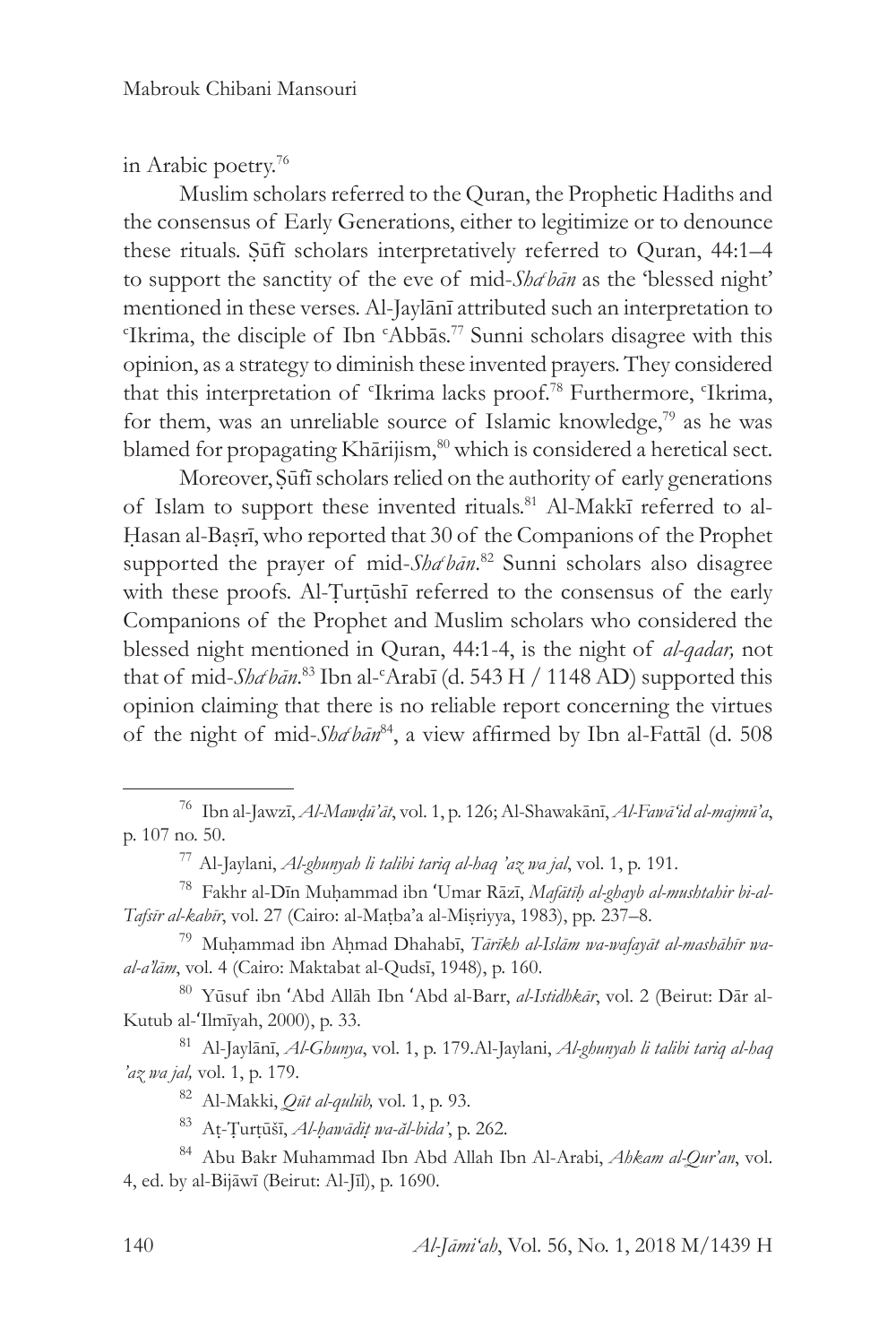in Arabic poetry.<sup>76</sup>

Muslim scholars referred to the Quran, the Prophetic Hadiths and the consensus of Early Generations, either to legitimize or to denounce these rituals. Ṣūfī scholars interpretatively referred to Quran, 44:1–4 to support the sanctity of the eve of mid-Sha<sup>ch</sup>on as the 'blessed night' mentioned in these verses. Al-Jaylānī attributed such an interpretation to c Ikrima, the disciple of Ibn c Abbās.77 Sunni scholars disagree with this opinion, as a strategy to diminish these invented prayers. They considered that this interpretation of 'Ikrima lacks proof.<sup>78</sup> Furthermore, 'Ikrima, for them, was an unreliable source of Islamic knowledge,79 as he was blamed for propagating Khārijism,<sup>80</sup> which is considered a heretical sect.

Moreover, Ṣūfī scholars relied on the authority of early generations of Islam to support these invented rituals.<sup>81</sup> Al-Makkī referred to al-Hasan al-Basrī, who reported that 30 of the Companions of the Prophet supported the prayer of mid-Sha<sup>c</sup>hān.<sup>82</sup> Sunni scholars also disagree with these proofs. Al-Țurțūshī referred to the consensus of the early Companions of the Prophet and Muslim scholars who considered the blessed night mentioned in Quran, 44:1-4, is the night of *al-qadar,* not that of mid-*Sha<sup>c</sup>hān*.<sup>83</sup> Ibn al-<sup>c</sup>Arabī (d. 543 H / 1148 AD) supported this opinion claiming that there is no reliable report concerning the virtues of the night of mid-*Sha<sup>chan®4</sup>*, a view affirmed by Ibn al-Fattāl (d. 508

<sup>80</sup> Yūsuf ibn ʻAbd Allāh Ibn ʻAbd al-Barr, *al-Istidhkār*, vol. 2 (Beirut: Dār al-Kutub al-ʻIlmīyah, 2000), p. 33.

<sup>81</sup> Al-Jaylānī, *Al-Ghunya*, vol. 1, p. 179.Al-Jaylani, *Al-ghunyah li talibi tariq al-haq 'az wa jal,* vol. 1, p. 179.

<sup>82</sup> Al-Makki, *Qūt al-qulūb,* vol. 1, p. 93.

<sup>83</sup> Aṭ-Ṭurṭūšī, *Al-ḥawādiṭ wa-ăl-bida'*, p. 262.

<sup>84</sup> Abu Bakr Muhammad Ibn Abd Allah Ibn Al-Arabi, *Ahkam al-Qur'an*, vol. 4, ed. by al-Bijāwī (Beirut: Al-Jīl), p. 1690.

<sup>76</sup> Ibn al-Jawzī, *Al-Mawḍū'āt*, vol. 1, p. 126; Al-Shawakānī, *Al-Fawā'id al-majmū'a*, p. 107 no. 50.

<sup>77</sup> Al-Jaylani, *Al-ghunyah li talibi tariq al-haq 'az wa jal*, vol. 1, p. 191.

<sup>78</sup> Fakhr al-Dīn Muḥammad ibn ʻUmar Rāzī, *Mafātīḥ al-ghayb al-mushtahir bi-al-Tafsīr al-kabīr*, vol. 27 (Cairo: al-Maṭba'a al-Miṣriyya, 1983), pp. 237–8.

<sup>79</sup> Muḥammad ibn Aḥmad Dhahabī, *Tārīkh al-Islām wa-wafayāt al-mashāhīr waal-a'lām*, vol. 4 (Cairo: Maktabat al-Qudsī, 1948), p. 160.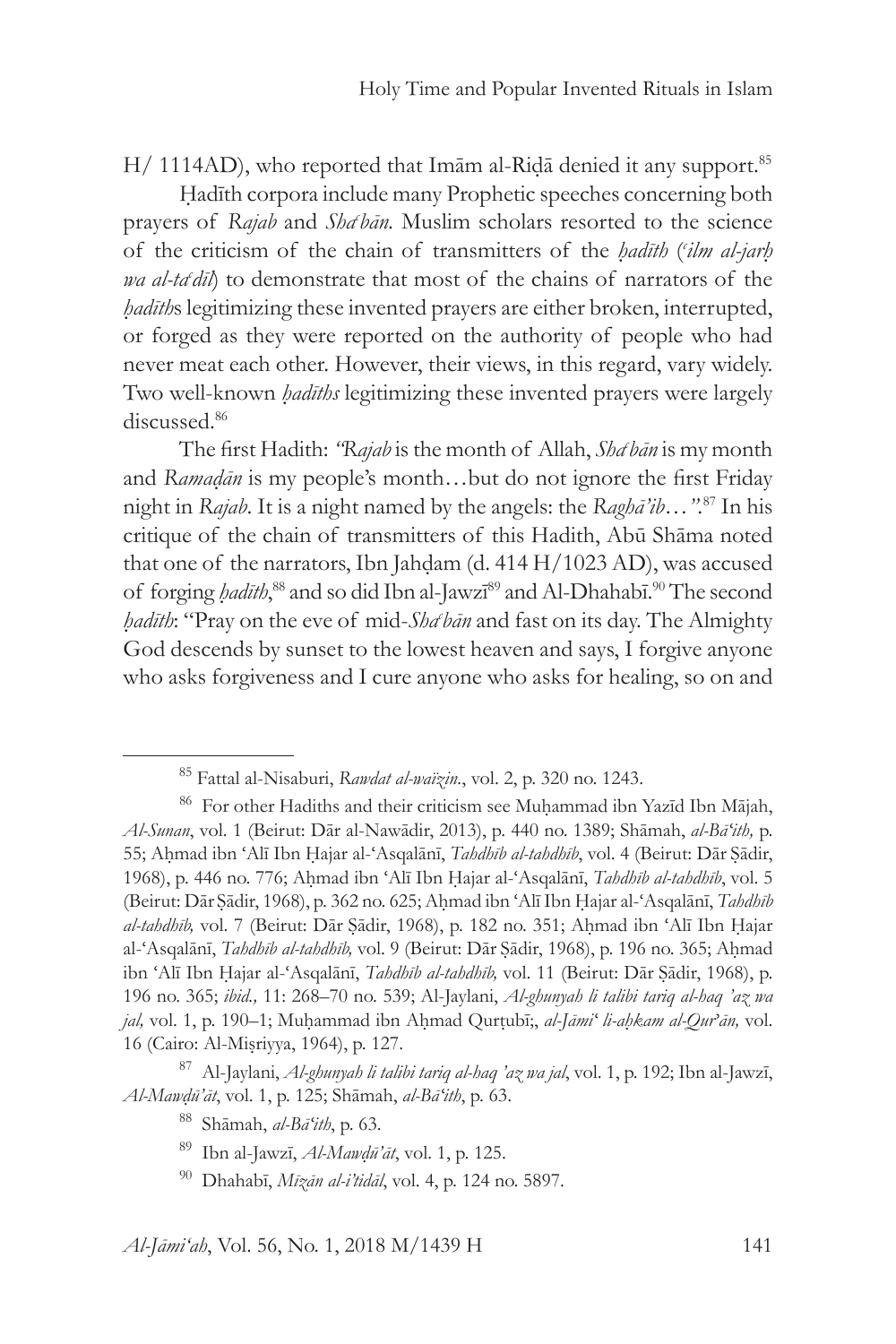H/ 1114AD), who reported that Imam al-Rida denied it any support.<sup>85</sup>

Ḥadīth corpora include many Prophetic speeches concerning both prayers of *Rajab* and *Sha<sup>c</sup>hān*. Muslim scholars resorted to the science of the criticism of the chain of transmitters of the *ḥadīth* ( *c ilm al-jarḥ wa al-ta<sup>t</sup>dīl*) to demonstrate that most of the chains of narrators of the *ḥadīth*s legitimizing these invented prayers are either broken, interrupted, or forged as they were reported on the authority of people who had never meat each other. However, their views, in this regard, vary widely. Two well-known *ḥadīths* legitimizing these invented prayers were largely discussed.86

The first Hadith: *"Rajab* is the month of Allah, *Shac bān* is my month and *Ramaḍān* is my people's month…but do not ignore the first Friday night in *Rajab*. It is a night named by the angels: the *Raghā'ib…".*<sup>87</sup> In his critique of the chain of transmitters of this Hadith, Abū Shāma noted that one of the narrators, Ibn Jahdam (d.  $414 H/1023 AD$ ), was accused of forging *ḥadīth*,<sup>88</sup> and so did Ibn al-Jawzī<sup>89</sup> and Al-Dhahabī.<sup>90</sup> The second *ḥadīth*: "Pray on the eve of mid-*Shac bān* and fast on its day. The Almighty God descends by sunset to the lowest heaven and says, I forgive anyone who asks forgiveness and I cure anyone who asks for healing, so on and

<sup>85</sup> Fattal al-Nisaburi, *Rawdat al-waïzin.*, vol. 2, p. 320 no. 1243.

<sup>&</sup>lt;sup>86</sup> For other Hadiths and their criticism see Muhammad ibn Yazīd Ibn Mājah, *Al-Sunan*, vol. 1 (Beirut: Dār al-Nawādir, 2013), p. 440 no. 1389; Shāmah, *al-Bāʻith,* p. 55; Aḥmad ibn ʻAlī Ibn Ḥajar al-ʻAsqalānī, *Tahdhīb al-tahdhīb*, vol. 4 (Beirut: Dār Ṣādir, 1968), p. 446 no. 776; Aḥmad ibn ʻAlī Ibn Ḥajar al-ʻAsqalānī, *Tahdhīb al-tahdhīb*, vol. 5 (Beirut: Dār Ṣādir, 1968), p. 362 no. 625; Aḥmad ibn ʻAlī Ibn Ḥajar al-ʻAsqalānī, *Tahdhīb al-tahdhīb,* vol. 7 (Beirut: Dār Ṣādir, 1968), p. 182 no. 351; Aḥmad ibn ʻAlī Ibn Ḥajar al-'Asqalānī, *Tahdhīb al-tahdhīb*, vol. 9 (Beirut: Dār Sādir, 1968), p. 196 no. 365; Ahmad ibn ʻAlī Ibn Ḥajar al-ʻAsqalānī, *Tahdhīb al-tahdhīb,* vol. 11 (Beirut: Dār Ṣādir, 1968), p. 196 no. 365; *ibid.,* 11: 268–70 no. 539; Al-Jaylani, *Al-ghunyah li talibi tariq al-haq 'az wa jal,* vol. 1, p. 190–1; Muḥammad ibn Aḥmad Qurṭubī;, *al-Jāmiʻ li-aḥkam al-Qur'ān,* vol. 16 (Cairo: Al-Miṣriyya, 1964), p. 127.

<sup>87</sup> Al-Jaylani, *Al-ghunyah li talibi tariq al-haq 'az wa jal*, vol. 1, p. 192; Ibn al-Jawzī, *Al-Mawḍū'āt*, vol. 1, p. 125; Shāmah, *al-Bāʻith*, p. 63.

<sup>88</sup> Shāmah, *al-Bāʻith*, p. 63.

<sup>89</sup> Ibn al-Jawzī, *Al-Mawḍū'āt*, vol. 1, p. 125.

<sup>90</sup> Dhahabī, *Mīzān al-i'tidāl*, vol. 4, p. 124 no. 5897.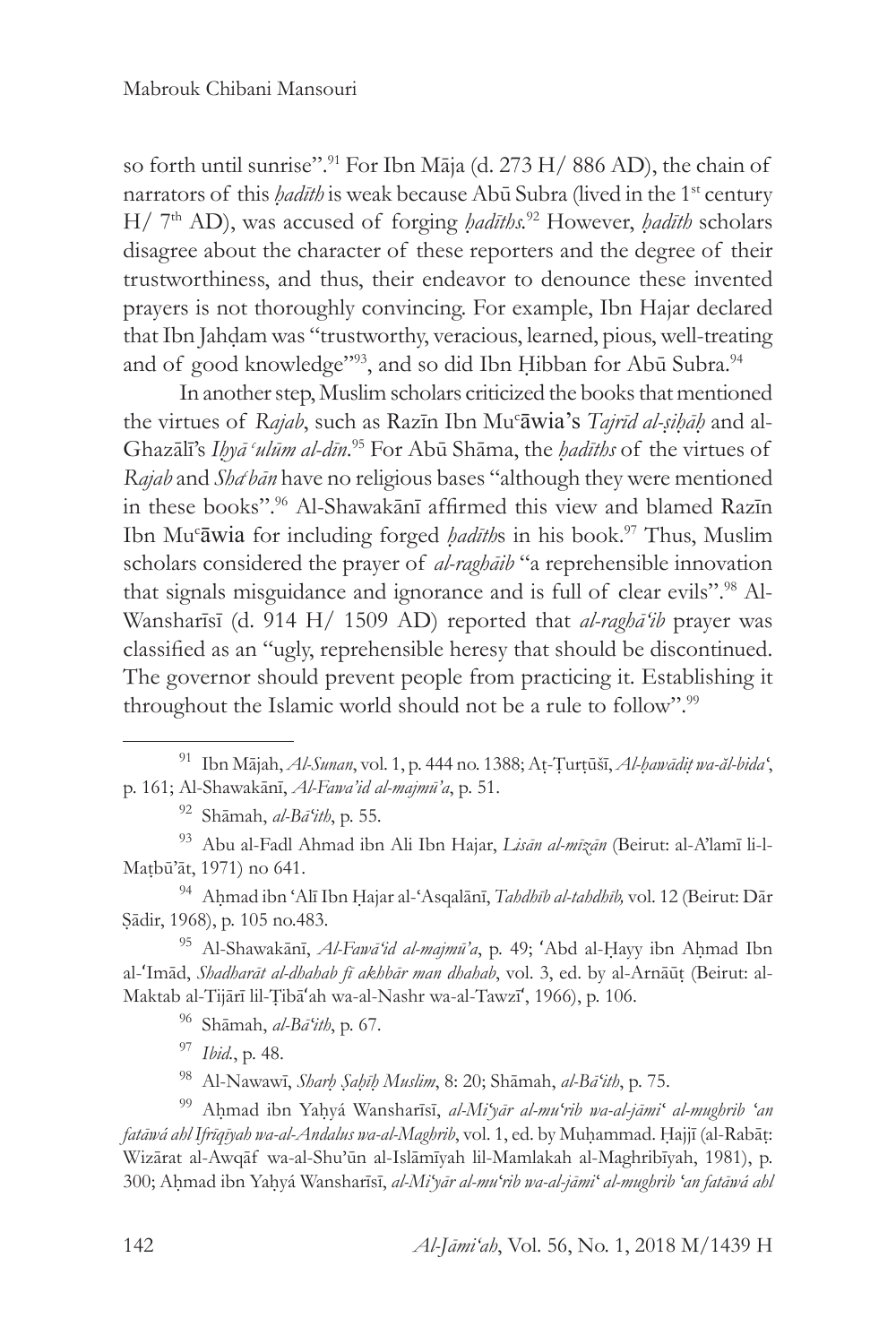so forth until sunrise".<sup>91</sup> For Ibn Māja (d. 273 H/ 886 AD), the chain of narrators of this *hadīth* is weak because Abū Subra (lived in the 1<sup>st</sup> century H/ 7th AD), was accused of forging *ḥadīths.*<sup>92</sup> However, *ḥadīth* scholars disagree about the character of these reporters and the degree of their trustworthiness, and thus, their endeavor to denounce these invented prayers is not thoroughly convincing. For example, Ibn Hajar declared that Ibn Jahḍam was "trustworthy, veracious, learned, pious, well-treating and of good knowledge"<sup>93</sup>, and so did Ibn Hibban for Abū Subra.<sup>94</sup>

In another step, Muslim scholars criticized the books that mentioned the virtues of *Rajab*, such as Razīn Ibn Mu<sup>c</sup> āwia's *Tajrīd al-ṣiḥāḥ* and al-Ghazālī's *Iḥyā <sup>c</sup> ulūm al-dīn*. 95 For Abū Shāma, the *ḥadīths* of the virtues of Rajab and *Sha'bān* have no religious bases "although they were mentioned in these books".<sup>96</sup> Al-Shawakānī affirmed this view and blamed Razīn Ibn Muc āwia for including forged *ḥadīth*s in his book.<sup>97</sup> Thus, Muslim scholars considered the prayer of *al-raghāib* "a reprehensible innovation that signals misguidance and ignorance and is full of clear evils".<sup>98</sup> Al-Wansharīsī (d. 914 H/ 1509 AD) reported that *al-raghā'ib* prayer was classified as an "ugly, reprehensible heresy that should be discontinued. The governor should prevent people from practicing it. Establishing it throughout the Islamic world should not be a rule to follow".<sup>99</sup>

<sup>94</sup> Aḥmad ibn ʻAlī Ibn Ḥajar al-ʻAsqalānī, *Tahdhīb al-tahdhīb,* vol. 12 (Beirut: Dār Ṣādir, 1968), p. 105 no.483.

<sup>95</sup> Al-Shawakānī, *Al-Fawā'id al-majmū'a*, p. 49; ʻAbd al-Ḥayy ibn Aḥmad Ibn al-ʻImād, *Shadharāt al-dhahab fī akhbār man dhahab*, vol. 3, ed. by al-Arnāūṭ (Beirut: al-Maktab al-Tijārī lil-Ṭibāʻah wa-al-Nashr wa-al-Tawzīʻ, 1966), p. 106.

<sup>96</sup> Shāmah, *al-Bāʻith*, p. 67.

<sup>97</sup> *Ibid.*, p. 48.

<sup>98</sup> Al-Nawawī, *Sharḥ Ṣaḥīḥ Muslim*, 8: 20; Shāmah, *al-Bāʻith*, p. 75.

<sup>99</sup> Aḥmad ibn Yaḥyá Wansharīsī, *al-Miʻyār al-muʻrib wa-al-jāmiʻ al-mughrib ʻan fatāwá ahl Ifrīqīyah wa-al-Andalus wa-al-Maghrib*, vol. 1, ed. by Muḥammad. Ḥajjī (al-Rabāṭ: Wizārat al-Awqāf wa-al-Shu'ūn al-Islāmīyah lil-Mamlakah al-Maghribīyah, 1981), p. 300; Aḥmad ibn Yaḥyá Wansharīsī, *al-Miʻyār al-muʻrib wa-al-jāmiʻ al-mughrib ʻan fatāwá ahl* 

<sup>91</sup> Ibn Mājah, *Al-Sunan*, vol. 1, p. 444 no. 1388; Aṭ-Ṭurṭūšī, *Al-ḥawādiṭ wa-ăl-bidaʻ*, p. 161; Al-Shawakānī, *Al-Fawa'id al-majmū'a*, p. 51.

<sup>92</sup> Shāmah, *al-Bāʻith*, p. 55.

<sup>93</sup> Abu al-Fadl Ahmad ibn Ali Ibn Hajar, *Lisān al-mīzān* (Beirut: al-A'lamī li-l-Maṭbū'āt, 1971) no 641.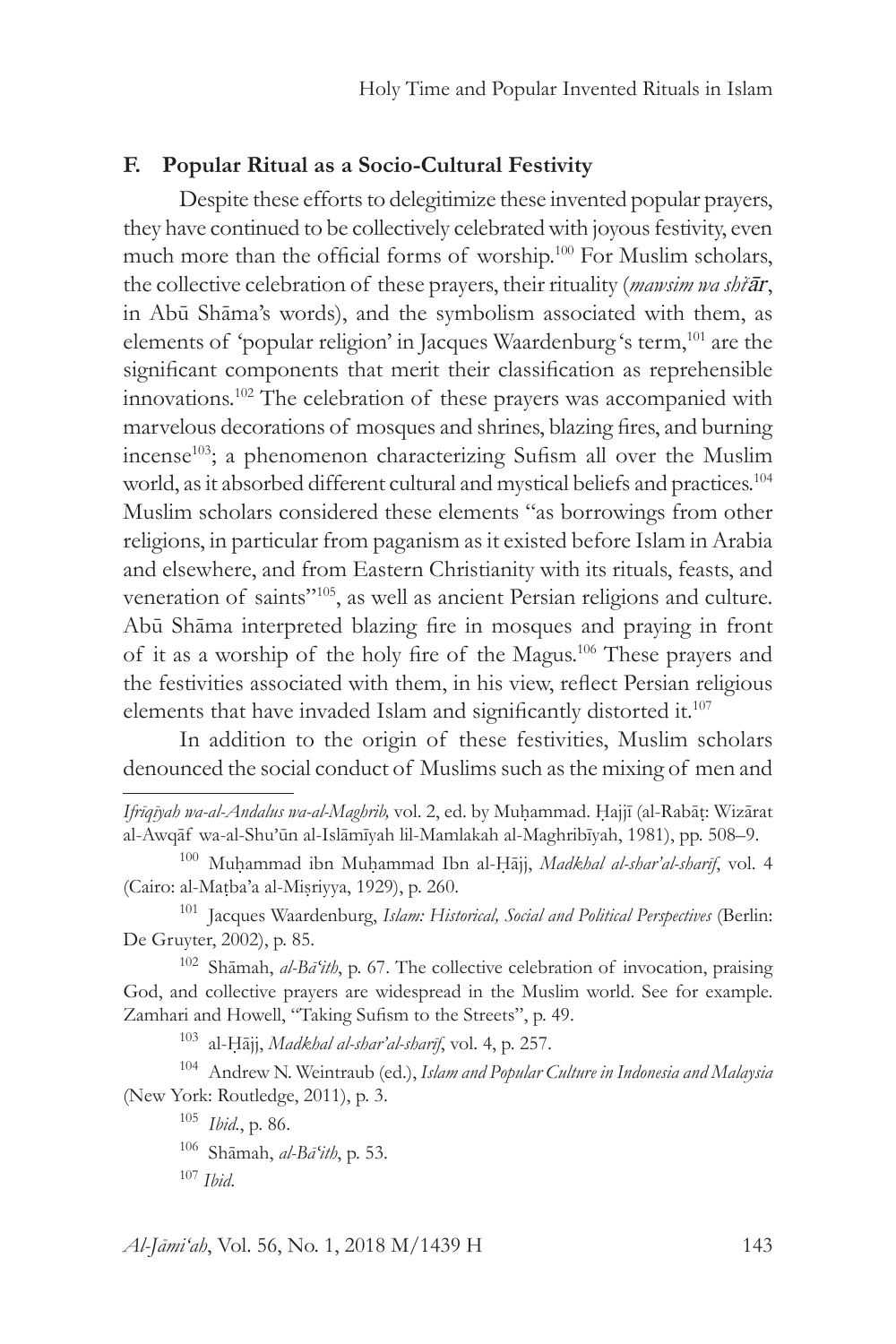# **F. Popular Ritual as a Socio-Cultural Festivity**

Despite these efforts to delegitimize these invented popular prayers, they have continued to be collectively celebrated with joyous festivity, even much more than the official forms of worship.<sup>100</sup> For Muslim scholars, the collective celebration of these prayers, their rituality (*mawsim wa shic ār*, in Abū Shāma's words), and the symbolism associated with them, as elements of 'popular religion' in Jacques Waardenburg 's term,<sup>101</sup> are the significant components that merit their classification as reprehensible innovations.102 The celebration of these prayers was accompanied with marvelous decorations of mosques and shrines, blazing fires, and burning incense<sup>103</sup>; a phenomenon characterizing Sufism all over the Muslim world, as it absorbed different cultural and mystical beliefs and practices.<sup>104</sup> Muslim scholars considered these elements "as borrowings from other religions, in particular from paganism as it existed before Islam in Arabia and elsewhere, and from Eastern Christianity with its rituals, feasts, and veneration of saints"105, as well as ancient Persian religions and culture. Abū Shāma interpreted blazing fire in mosques and praying in front of it as a worship of the holy fire of the Magus.106 These prayers and the festivities associated with them, in his view, reflect Persian religious elements that have invaded Islam and significantly distorted it.107

In addition to the origin of these festivities, Muslim scholars denounced the social conduct of Muslims such as the mixing of men and

<sup>103</sup> al-Ḥājj, *Madkhal al-shar'al-sharīf*, vol. 4, p. 257.

<sup>104</sup> Andrew N. Weintraub (ed.), *Islam and Popular Culture in Indonesia and Malaysia* (New York: Routledge, 2011), p. 3.

<sup>105</sup> *Ibid.*, p. 86.

<sup>106</sup> Shāmah, *al-Bāʻith*, p. 53.

<sup>107</sup> *Ibid*.

*Al-Jāmi'ah*, Vol. 56, No. 1, 2018 M/1439 H 143

*Ifrīqīyah wa-al-Andalus wa-al-Maghrib,* vol. 2, ed. by Muḥammad. Ḥajjī (al-Rabāṭ: Wizārat al-Awqāf wa-al-Shu'ūn al-Islāmīyah lil-Mamlakah al-Maghribīyah, 1981), pp. 508–9.

<sup>100</sup> Muḥammad ibn Muḥammad Ibn al-Ḥājj, *Madkhal al-shar'al-sharīf*, vol. 4 (Cairo: al-Maṭba'a al-Miṣriyya, 1929), p. 260.

<sup>101</sup> Jacques Waardenburg, *Islam: Historical, Social and Political Perspectives* (Berlin: De Gruyter, 2002), p. 85.

<sup>102</sup> Shāmah, *al-Bāʻith*, p. 67. The collective celebration of invocation, praising God, and collective prayers are widespread in the Muslim world. See for example. Zamhari and Howell, "Taking Sufism to the Streets", p. 49.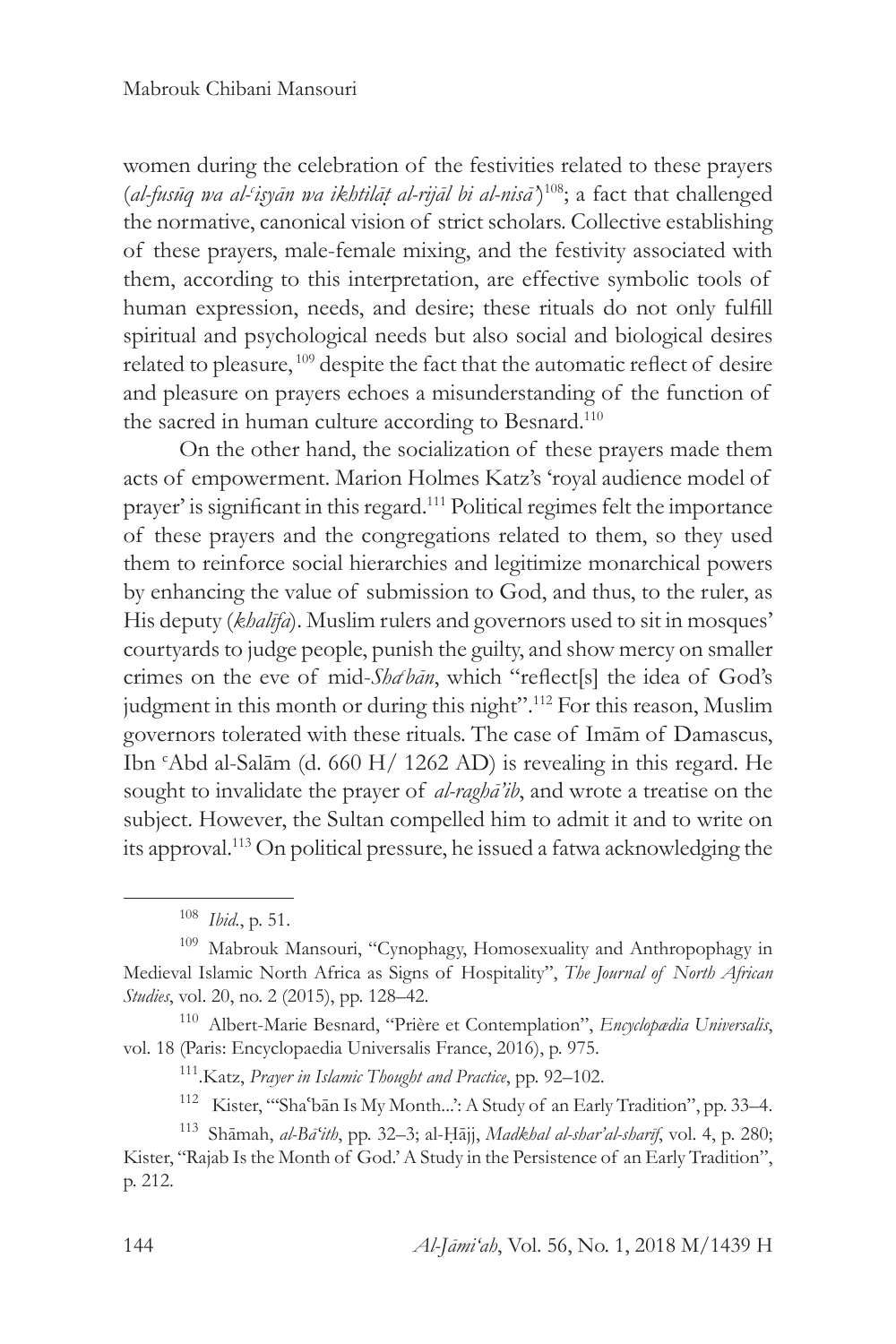women during the celebration of the festivities related to these prayers (*al-fusūq wa al-<sup>c</sup> iṣyān wa ikhtilāṭ al-rijāl bi al-nisā'*) <sup>108</sup>; a fact that challenged the normative, canonical vision of strict scholars. Collective establishing of these prayers, male-female mixing, and the festivity associated with them, according to this interpretation, are effective symbolic tools of human expression, needs, and desire; these rituals do not only fulfill spiritual and psychological needs but also social and biological desires related to pleasure, 109 despite the fact that the automatic reflect of desire and pleasure on prayers echoes a misunderstanding of the function of the sacred in human culture according to Besnard.<sup>110</sup>

On the other hand, the socialization of these prayers made them acts of empowerment. Marion Holmes Katz's 'royal audience model of prayer' is significant in this regard.<sup>111</sup> Political regimes felt the importance of these prayers and the congregations related to them, so they used them to reinforce social hierarchies and legitimize monarchical powers by enhancing the value of submission to God, and thus, to the ruler, as His deputy (*khalīfa*). Muslim rulers and governors used to sit in mosques' courtyards to judge people, punish the guilty, and show mercy on smaller crimes on the eve of mid-*Shac bān*, which "reflect[s] the idea of God's judgment in this month or during this night".<sup>112</sup> For this reason, Muslim governors tolerated with these rituals. The case of Imām of Damascus, Ibn c Abd al-Salām (d. 660 H/ 1262 AD) is revealing in this regard. He sought to invalidate the prayer of *al-raghā'ib*, and wrote a treatise on the subject. However, the Sultan compelled him to admit it and to write on its approval.113 On political pressure, he issued a fatwa acknowledging the

<sup>110</sup> Albert-Marie Besnard, "Prière et Contemplation", *Encyclopædia Universalis*, vol. 18 (Paris: Encyclopaedia Universalis France, 2016), p. 975.

<sup>108</sup> *Ibid.*, p. 51.

<sup>&</sup>lt;sup>109</sup> Mabrouk Mansouri, "Cynophagy, Homosexuality and Anthropophagy in Medieval Islamic North Africa as Signs of Hospitality", *The Journal of North African Studies*, vol. 20, no. 2 (2015), pp. 128–42.

<sup>111.</sup>Katz, *Prayer in Islamic Thought and Practice*, pp. 92–102.

<sup>112</sup> Kister, "'Shaʿbān Is My Month...': A Study of an Early Tradition", pp. 33–4.

<sup>113</sup> Shāmah, *al-Bāʻith*, pp. 32–3; al-Ḥājj, *Madkhal al-shar'al-sharīf*, vol. 4, p. 280; Kister, "Rajab Is the Month of God.' A Study in the Persistence of an Early Tradition", p. 212.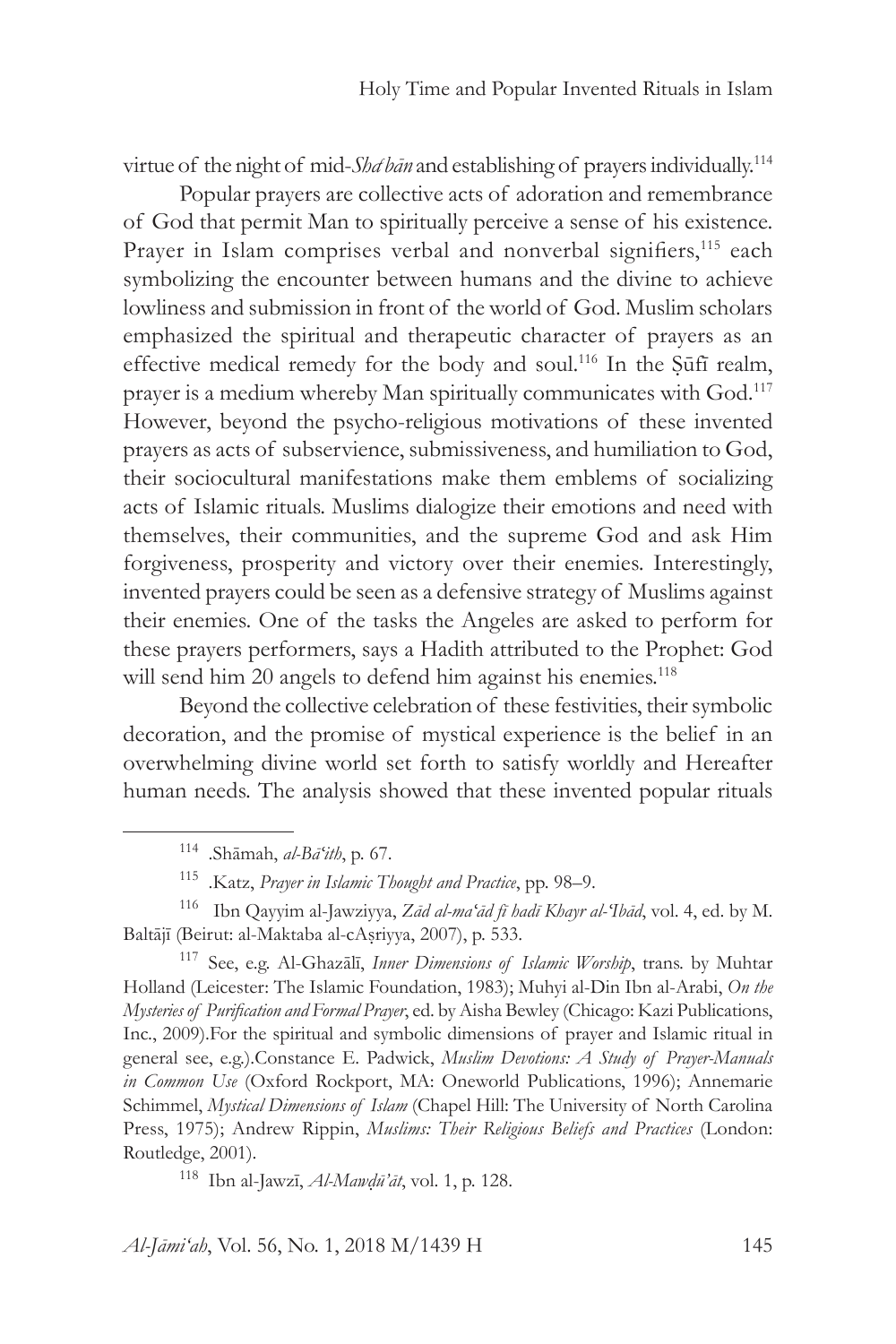virtue of the night of mid-Sha<sup>t</sup> bān and establishing of prayers individually.<sup>114</sup>

Popular prayers are collective acts of adoration and remembrance of God that permit Man to spiritually perceive a sense of his existence. Prayer in Islam comprises verbal and nonverbal signifiers,<sup>115</sup> each symbolizing the encounter between humans and the divine to achieve lowliness and submission in front of the world of God. Muslim scholars emphasized the spiritual and therapeutic character of prayers as an effective medical remedy for the body and soul.<sup>116</sup> In the Sūfī realm, prayer is a medium whereby Man spiritually communicates with God.<sup>117</sup> However, beyond the psycho-religious motivations of these invented prayers as acts of subservience, submissiveness, and humiliation to God, their sociocultural manifestations make them emblems of socializing acts of Islamic rituals. Muslims dialogize their emotions and need with themselves, their communities, and the supreme God and ask Him forgiveness, prosperity and victory over their enemies. Interestingly, invented prayers could be seen as a defensive strategy of Muslims against their enemies. One of the tasks the Angeles are asked to perform for these prayers performers, says a Hadith attributed to the Prophet: God will send him 20 angels to defend him against his enemies.<sup>118</sup>

Beyond the collective celebration of these festivities, their symbolic decoration, and the promise of mystical experience is the belief in an overwhelming divine world set forth to satisfy worldly and Hereafter human needs. The analysis showed that these invented popular rituals

<sup>117</sup> See, e.g. Al-Ghazālī, *Inner Dimensions of Islamic Worship*, trans. by Muhtar Holland (Leicester: The Islamic Foundation, 1983); Muhyi al-Din Ibn al-Arabi, *On the Mysteries of Purification and Formal Prayer*, ed. by Aisha Bewley (Chicago: Kazi Publications, Inc., 2009).For the spiritual and symbolic dimensions of prayer and Islamic ritual in general see, e.g.).Constance E. Padwick, *Muslim Devotions: A Study of Prayer-Manuals in Common Use* (Oxford Rockport, MA: Oneworld Publications, 1996); Annemarie Schimmel, *Mystical Dimensions of Islam* (Chapel Hill: The University of North Carolina Press, 1975); Andrew Rippin, *Muslims: Their Religious Beliefs and Practices* (London: Routledge, 2001).

<sup>114</sup> .Shāmah, *al-Bāʻith*, p. 67.

<sup>115</sup> .Katz, *Prayer in Islamic Thought and Practice*, pp. 98–9.

<sup>116</sup> Ibn Qayyim al-Jawziyya, *Zād al-maʻād fī hadī Khayr al-ʻIbād*, vol. 4, ed. by M. Baltājī (Beirut: al-Maktaba al-cAṣriyya, 2007), p. 533.

<sup>118</sup> Ibn al-Jawzī, *Al-Mawḍū'āt*, vol. 1, p. 128.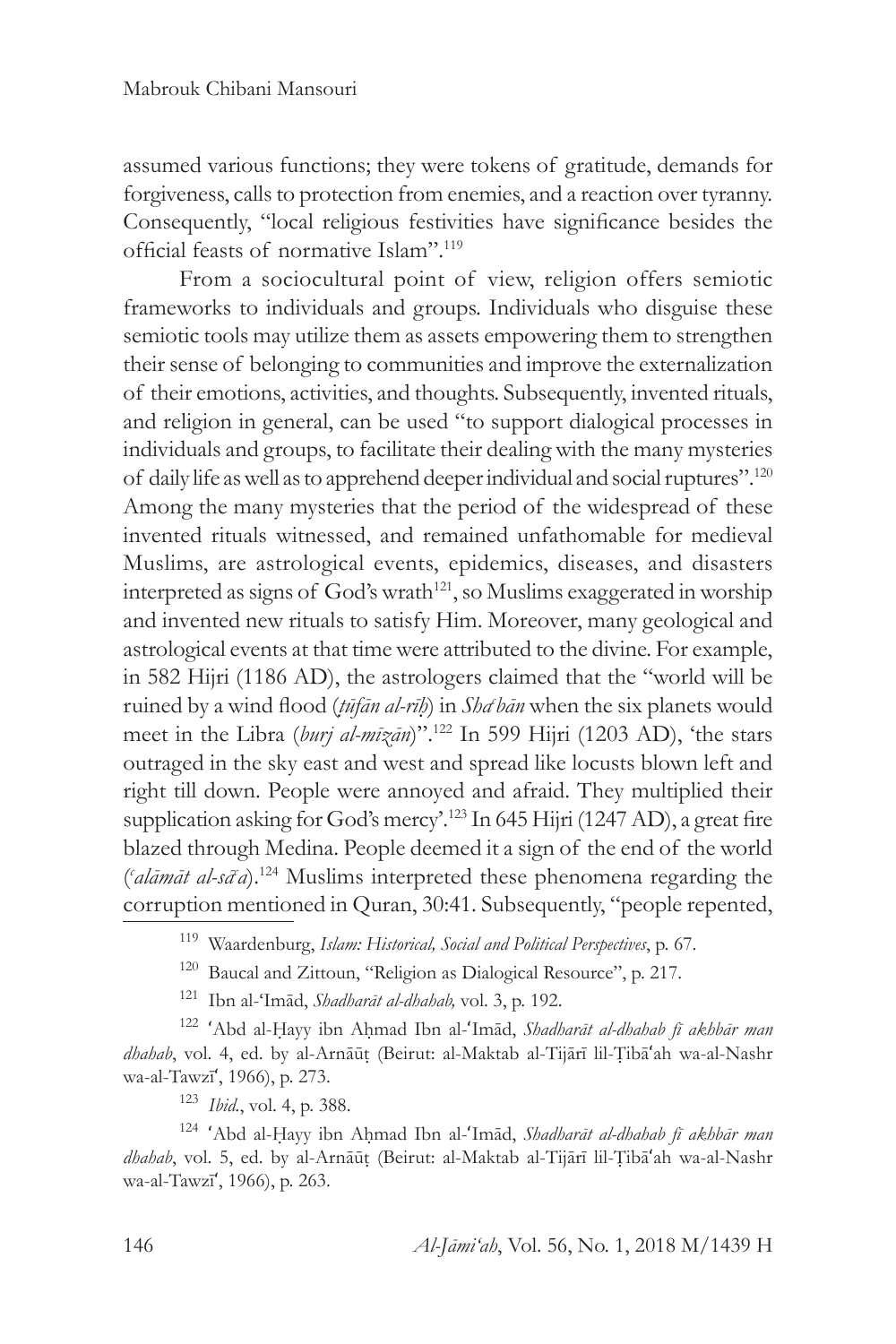assumed various functions; they were tokens of gratitude, demands for forgiveness, calls to protection from enemies, and a reaction over tyranny. Consequently, "local religious festivities have significance besides the official feasts of normative Islam".119

From a sociocultural point of view, religion offers semiotic frameworks to individuals and groups. Individuals who disguise these semiotic tools may utilize them as assets empowering them to strengthen their sense of belonging to communities and improve the externalization of their emotions, activities, and thoughts. Subsequently, invented rituals, and religion in general, can be used "to support dialogical processes in individuals and groups, to facilitate their dealing with the many mysteries of daily life as well as to apprehend deeper individual and social ruptures".120 Among the many mysteries that the period of the widespread of these invented rituals witnessed, and remained unfathomable for medieval Muslims, are astrological events, epidemics, diseases, and disasters interpreted as signs of God's wrath<sup>121</sup>, so Muslims exaggerated in worship and invented new rituals to satisfy Him. Moreover, many geological and astrological events at that time were attributed to the divine. For example, in 582 Hijri (1186 AD), the astrologers claimed that the "world will be ruined by a wind flood (*ṭūfān al-rīḥ*) in *Shac bān* when the six planets would meet in the Libra (*burj al-mīzān*)".122 In 599 Hijri (1203 AD), 'the stars outraged in the sky east and west and spread like locusts blown left and right till down. People were annoyed and afraid. They multiplied their supplication asking for God's mercy'.<sup>123</sup> In 645 Hijri (1247 AD), a great fire blazed through Medina. People deemed it a sign of the end of the world ( *c alāmāt al-sā<sup>c</sup> a*).124 Muslims interpreted these phenomena regarding the corruption mentioned in Quran, 30:41. Subsequently, "people repented,

<sup>121</sup> Ibn al-ʻImād, *Shadharāt al-dhahab,* vol. 3, p. 192.

<sup>122</sup> ʻAbd al-Ḥayy ibn Aḥmad Ibn al-ʻImād, *Shadharāt al-dhahab fī akhbār man dhahab*, vol. 4, ed. by al-Arnāūṭ (Beirut: al-Maktab al-Tijārī lil-Ṭibāʻah wa-al-Nashr wa-al-Tawzīʻ, 1966), p. 273.

<sup>123</sup> *Ibid.*, vol. 4, p. 388.

<sup>124</sup> ʻAbd al-Ḥayy ibn Aḥmad Ibn al-ʻImād, *Shadharāt al-dhahab fī akhbār man dhahab*, vol. 5, ed. by al-Arnāūṭ (Beirut: al-Maktab al-Tijārī lil-Ṭibāʻah wa-al-Nashr wa-al-Tawzīʻ, 1966), p. 263.

<sup>119</sup> Waardenburg, *Islam: Historical, Social and Political Perspectives*, p. 67.

<sup>120</sup> Baucal and Zittoun, "Religion as Dialogical Resource", p. 217.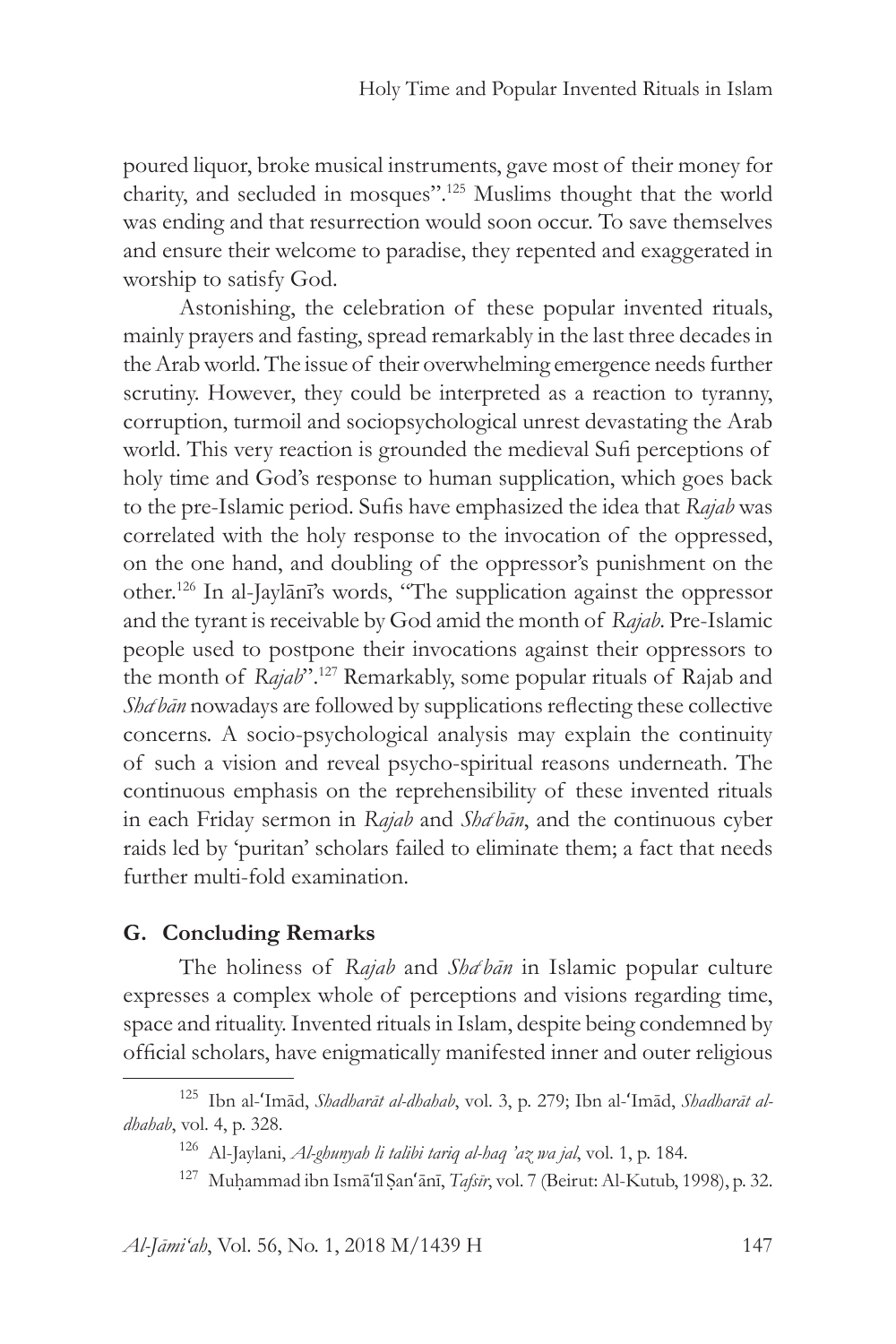poured liquor, broke musical instruments, gave most of their money for charity, and secluded in mosques".125 Muslims thought that the world was ending and that resurrection would soon occur. To save themselves and ensure their welcome to paradise, they repented and exaggerated in worship to satisfy God.

Astonishing, the celebration of these popular invented rituals, mainly prayers and fasting, spread remarkably in the last three decades in the Arab world. The issue of their overwhelming emergence needs further scrutiny. However, they could be interpreted as a reaction to tyranny, corruption, turmoil and sociopsychological unrest devastating the Arab world. This very reaction is grounded the medieval Sufi perceptions of holy time and God's response to human supplication, which goes back to the pre-Islamic period. Sufis have emphasized the idea that *Rajab* was correlated with the holy response to the invocation of the oppressed, on the one hand, and doubling of the oppressor's punishment on the other.126 In al-Jaylānī's words, "The supplication against the oppressor and the tyrant is receivable by God amid the month of *Rajab*. Pre-Islamic people used to postpone their invocations against their oppressors to the month of *Rajab*".127 Remarkably, some popular rituals of Rajab and Sha<sup>c</sup> bān nowadays are followed by supplications reflecting these collective concerns. A socio-psychological analysis may explain the continuity of such a vision and reveal psycho-spiritual reasons underneath. The continuous emphasis on the reprehensibility of these invented rituals in each Friday sermon in *Rajab* and *Shac bān*, and the continuous cyber raids led by 'puritan' scholars failed to eliminate them; a fact that needs further multi-fold examination.

### **G. Concluding Remarks**

The holiness of *Rajab* and *Shatbān* in Islamic popular culture expresses a complex whole of perceptions and visions regarding time, space and rituality. Invented rituals in Islam, despite being condemned by official scholars, have enigmatically manifested inner and outer religious

*Al-Jāmi'ah*, Vol. 56, No. 1, 2018 M/1439 H 147

<sup>125</sup> Ibn al-ʻImād, *Shadharāt al-dhahab*, vol. 3, p. 279; Ibn al-ʻImād, *Shadharāt aldhahab*, vol. 4, p. 328.

<sup>126</sup> Al-Jaylani, *Al-ghunyah li talibi tariq al-haq 'az wa jal*, vol. 1, p. 184.

<sup>127</sup> Muḥammad ibn Ismāʻīl Ṣanʻānī, *Tafsīr*, vol. 7 (Beirut: Al-Kutub, 1998), p. 32.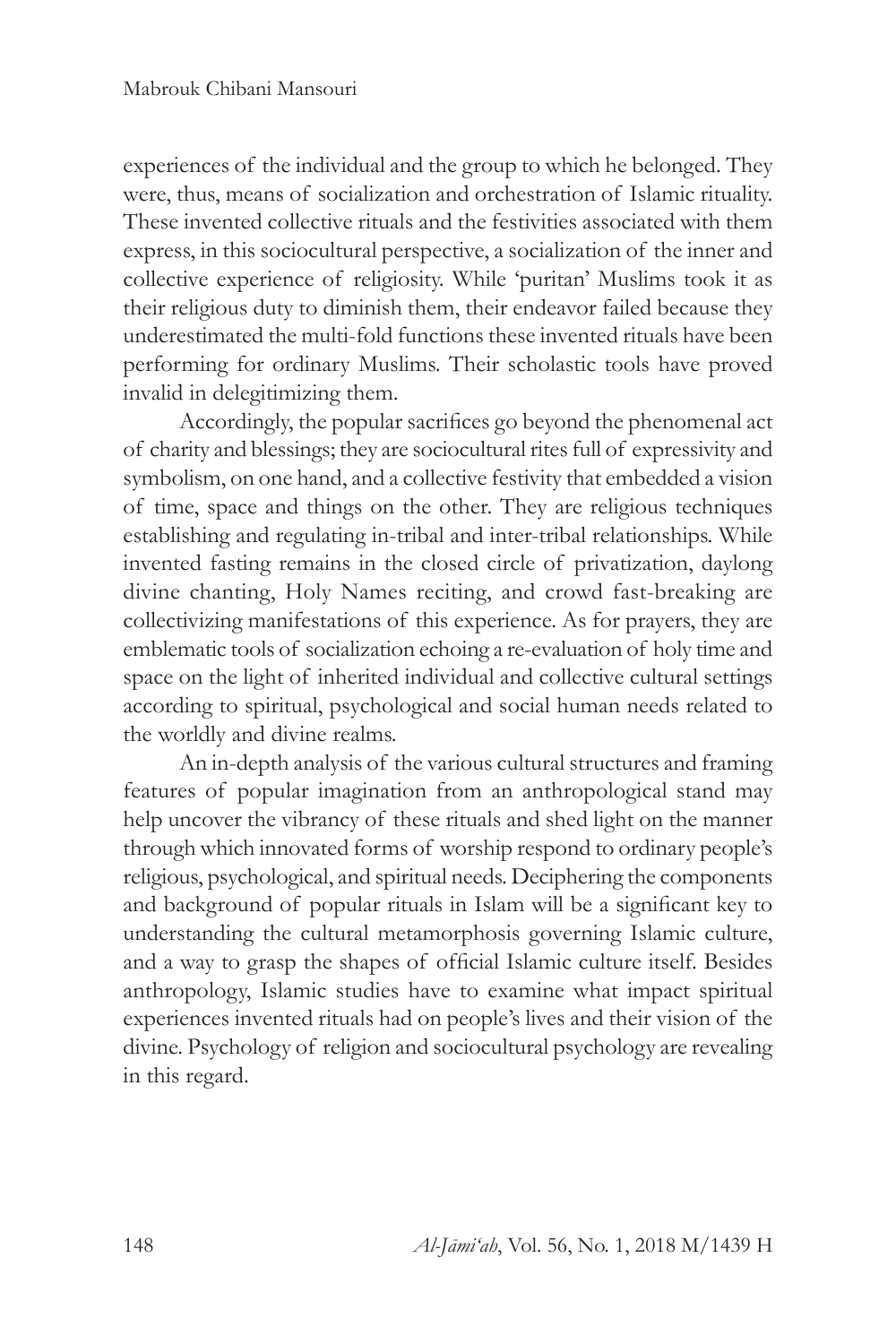experiences of the individual and the group to which he belonged. They were, thus, means of socialization and orchestration of Islamic rituality. These invented collective rituals and the festivities associated with them express, in this sociocultural perspective, a socialization of the inner and collective experience of religiosity. While 'puritan' Muslims took it as their religious duty to diminish them, their endeavor failed because they underestimated the multi-fold functions these invented rituals have been performing for ordinary Muslims. Their scholastic tools have proved invalid in delegitimizing them.

Accordingly, the popular sacrifices go beyond the phenomenal act of charity and blessings; they are sociocultural rites full of expressivity and symbolism, on one hand, and a collective festivity that embedded a vision of time, space and things on the other. They are religious techniques establishing and regulating in-tribal and inter-tribal relationships. While invented fasting remains in the closed circle of privatization, daylong divine chanting, Holy Names reciting, and crowd fast-breaking are collectivizing manifestations of this experience. As for prayers, they are emblematic tools of socialization echoing a re-evaluation of holy time and space on the light of inherited individual and collective cultural settings according to spiritual, psychological and social human needs related to the worldly and divine realms.

An in-depth analysis of the various cultural structures and framing features of popular imagination from an anthropological stand may help uncover the vibrancy of these rituals and shed light on the manner through which innovated forms of worship respond to ordinary people's religious, psychological, and spiritual needs. Deciphering the components and background of popular rituals in Islam will be a significant key to understanding the cultural metamorphosis governing Islamic culture, and a way to grasp the shapes of official Islamic culture itself. Besides anthropology, Islamic studies have to examine what impact spiritual experiences invented rituals had on people's lives and their vision of the divine. Psychology of religion and sociocultural psychology are revealing in this regard.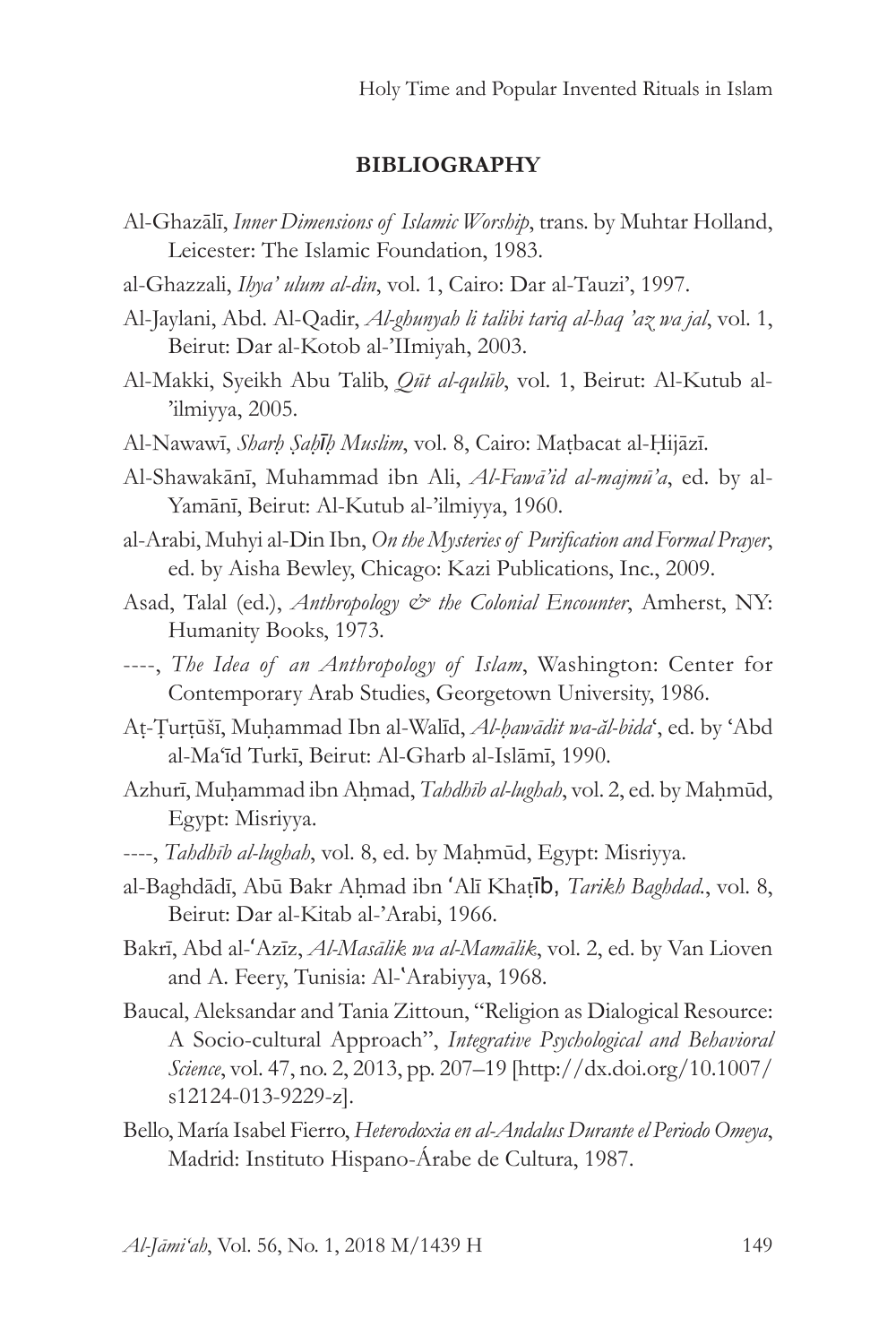#### **BIBLIOGRAPHY**

- Al-Ghazālī, *Inner Dimensions of Islamic Worship*, trans. by Muhtar Holland, Leicester: The Islamic Foundation, 1983.
- al-Ghazzali, *Ihya' ulum al-din*, vol. 1, Cairo: Dar al-Tauzi', 1997.
- Al-Jaylani, Abd. Al-Qadir, *Al-ghunyah li talibi tariq al-haq 'az wa jal*, vol. 1, Beirut: Dar al-Kotob al-'IImiyah, 2003.
- Al-Makki, Syeikh Abu Talib, *Qūt al-qulūb*, vol. 1, Beirut: Al-Kutub al- 'ilmiyya, 2005.
- Al-Nawawī, *Sharḥ Ṣaḥīḥ Muslim*, vol. 8, Cairo: Maṭbacat al-Ḥijāzī.
- Al-Shawakānī, Muhammad ibn Ali, *Al-Fawā'id al-majmū'a*, ed. by al-Yamānī, Beirut: Al-Kutub al-'ilmiyya, 1960.
- al-Arabi, Muhyi al-Din Ibn, *On the Mysteries of Purification and Formal Prayer*, ed. by Aisha Bewley, Chicago: Kazi Publications, Inc., 2009.
- Asad, Talal (ed.), *Anthropology & the Colonial Encounter*, Amherst, NY: Humanity Books, 1973.
- ----, *The Idea of an Anthropology of Islam*, Washington: Center for Contemporary Arab Studies, Georgetown University, 1986.
- Aṭ-Ṭurṭūšī, Muḥammad Ibn al-Walīd, *Al-ḥawādit wa-ăl-bida*ʻ, ed. by ʻAbd al-Ma'īd Turkī, Beirut: Al-Gharb al-Islāmī, 1990.
- Azhurī, Muhammad ibn Ahmad, *Tahdhīb al-lughah*, vol. 2, ed. by Mahmūd, Egypt: Misriyya.
- ----, *Tahdhīb al-lughah*, vol. 8, ed. by Maḥmūd, Egypt: Misriyya.
- al-Baghdādī, Abū Bakr Aḥmad ibn ʻAlī Khaṭīb, *Tarikh Baghdad.*, vol. 8, Beirut: Dar al-Kitab al-'Arabi, 1966.
- Bakrī, Abd al-ʻAzīz, *Al-Masālik wa al-Mamālik*, vol. 2, ed. by Van Lioven and A. Feery, Tunisia: Al-`Arabiyya, 1968.
- Baucal, Aleksandar and Tania Zittoun, "Religion as Dialogical Resource: A Socio-cultural Approach", *Integrative Psychological and Behavioral Science*, vol. 47, no. 2, 2013, pp. 207–19 [http://dx.doi.org/10.1007/ s12124-013-9229-z].
- Bello, María Isabel Fierro, *Heterodoxia en al-Andalus Durante el Periodo Omeya*, Madrid: Instituto Hispano-Árabe de Cultura, 1987.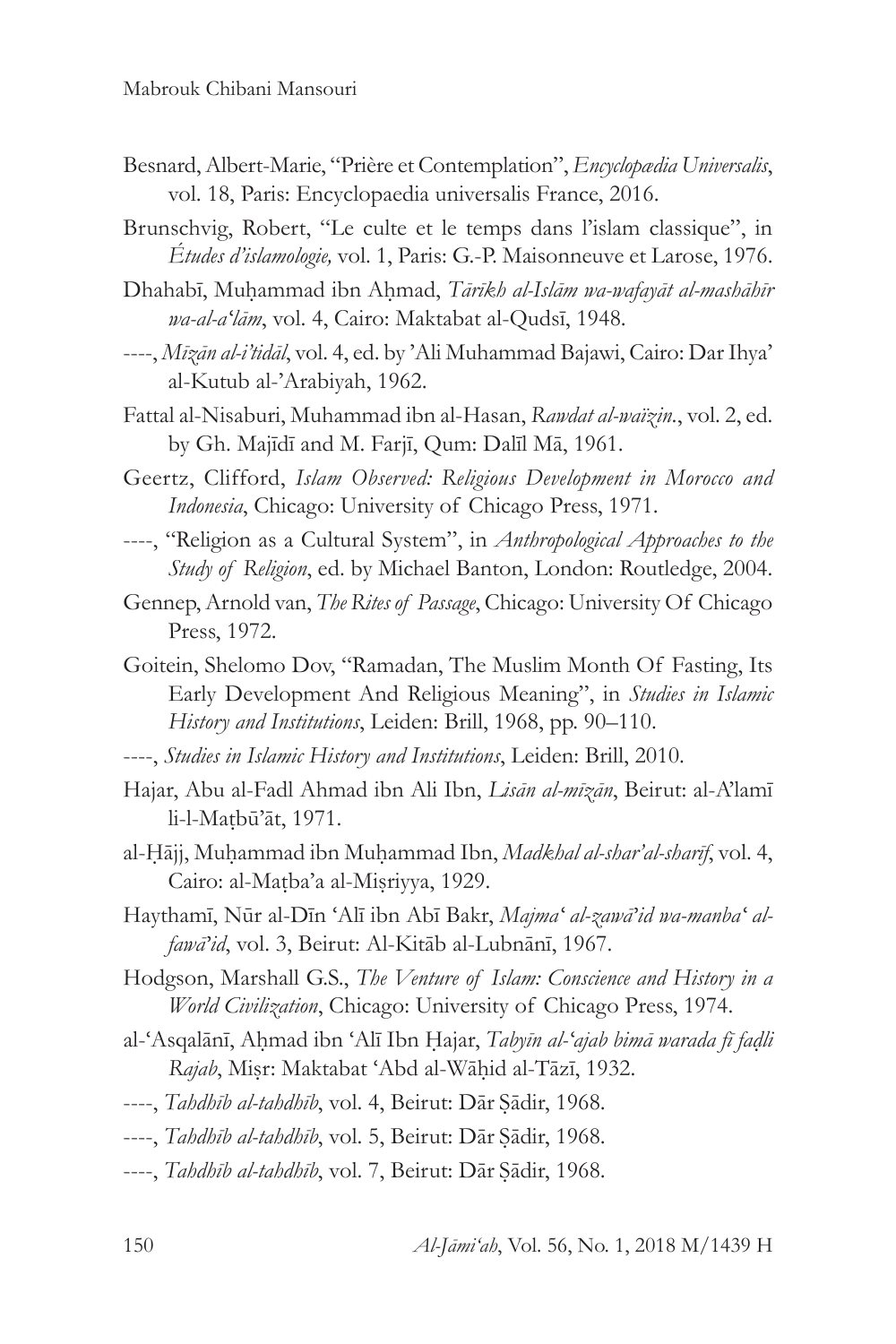- Besnard, Albert-Marie, "Prière et Contemplation", *Encyclopædia Universalis*, vol. 18, Paris: Encyclopaedia universalis France, 2016.
- Brunschvig, Robert, "Le culte et le temps dans l'islam classique", in *Études d'islamologie,* vol. 1, Paris: G.-P. Maisonneuve et Larose, 1976.
- Dhahabī, Muḥammad ibn Aḥmad, *Tārīkh al-Islām wa-wafayāt al-mashāhīr wa-al-aʻlām*, vol. 4, Cairo: Maktabat al-Qudsī, 1948.
- ----, *Mīzān al-i'tidāl*, vol. 4, ed. by 'Ali Muhammad Bajawi, Cairo: Dar Ihya' al-Kutub al-'Arabiyah, 1962.
- Fattal al-Nisaburi, Muhammad ibn al-Hasan, *Rawdat al-waïzin.*, vol. 2, ed. by Gh. Majīdī and M. Farjī, Qum: Dalīl Mā, 1961.
- Geertz, Clifford, *Islam Observed: Religious Development in Morocco and Indonesia*, Chicago: University of Chicago Press, 1971.
- ----, "Religion as a Cultural System", in *Anthropological Approaches to the Study of Religion*, ed. by Michael Banton, London: Routledge, 2004.
- Gennep, Arnold van, *The Rites of Passage*, Chicago: University Of Chicago Press, 1972.
- Goitein, Shelomo Dov, "Ramadan, The Muslim Month Of Fasting, Its Early Development And Religious Meaning", in *Studies in Islamic History and Institutions*, Leiden: Brill, 1968, pp. 90–110.
- ----, *Studies in Islamic History and Institutions*, Leiden: Brill, 2010.
- Hajar, Abu al-Fadl Ahmad ibn Ali Ibn, *Lisān al-mīzān*, Beirut: al-A'lamī li-l-Maṭbū'āt, 1971.
- al-Ḥājj, Muḥammad ibn Muḥammad Ibn, *Madkhal al-shar'al-sharīf*, vol. 4, Cairo: al-Maṭba'a al-Miṣriyya, 1929.
- Haythamī, Nūr al-Dīn ʻAlī ibn Abī Bakr, *Majmaʻ al-zawā'id wa-manbaʻ alfawā'id*, vol. 3, Beirut: Al-Kitāb al-Lubnānī, 1967.
- Hodgson, Marshall G.S., *The Venture of Islam: Conscience and History in a World Civilization*, Chicago: University of Chicago Press, 1974.
- al-ʻAsqalānī, Aḥmad ibn ʻAlī Ibn Ḥajar, *Tabyīn al-ʻajab bimā warada fī faḍli Rajab*, Miṣr: Maktabat ʻAbd al-Wāḥid al-Tāzī, 1932.
- ----, *Tahdhīb al-tahdhīb*, vol. 4, Beirut: Dār Ṣādir, 1968.
- ----, *Tahdhīb al-tahdhīb*, vol. 5, Beirut: Dār Ṣādir, 1968.
- ----, *Tahdhīb al-tahdhīb*, vol. 7, Beirut: Dār Ṣādir, 1968.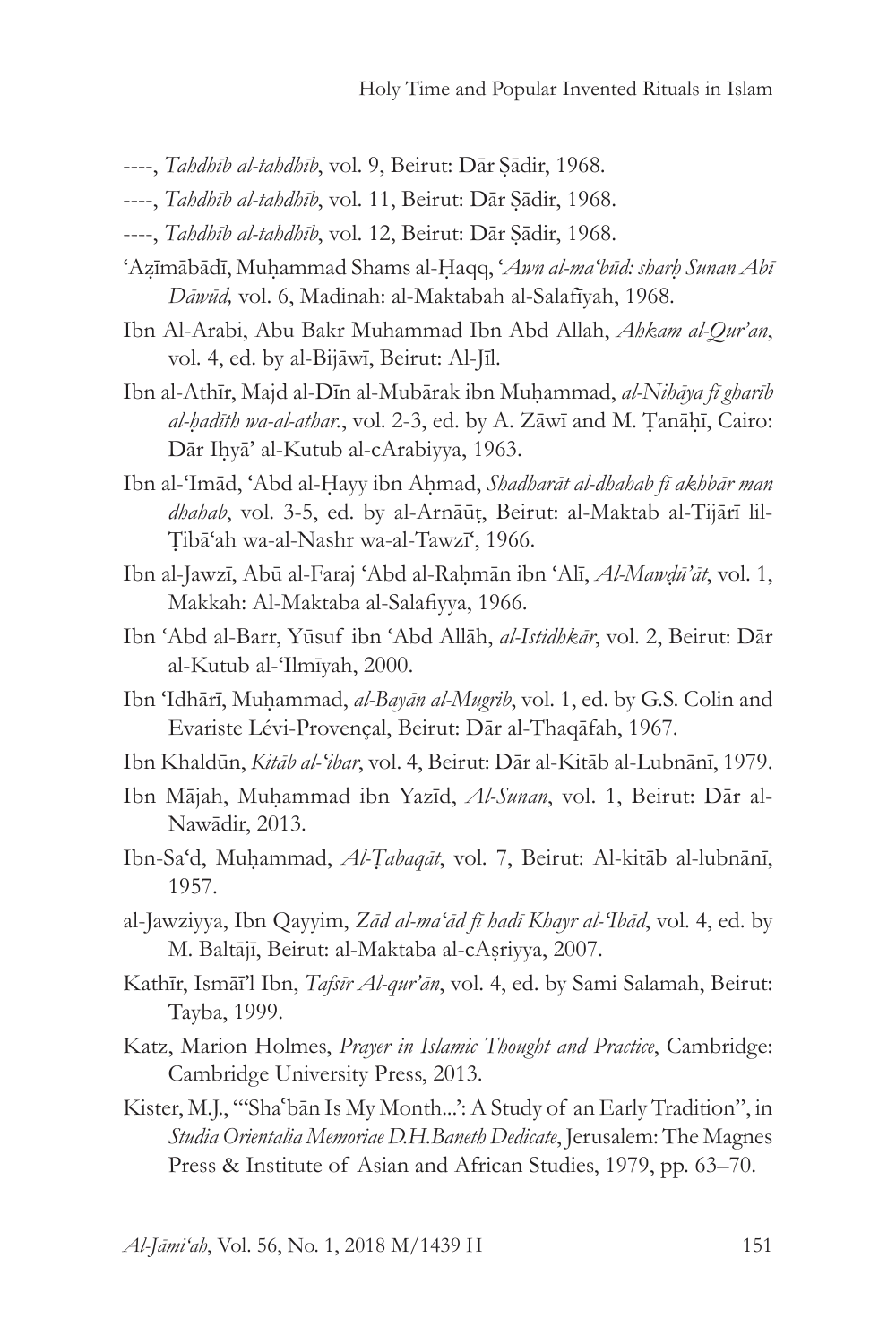- ----, *Tahdhīb al-tahdhīb*, vol. 9, Beirut: Dār Ṣādir, 1968.
- ----, *Tahdhīb al-tahdhīb*, vol. 11, Beirut: Dār Ṣādir, 1968.
- ----, *Tahdhīb al-tahdhīb*, vol. 12, Beirut: Dār Ṣādir, 1968.
- ʻAẓīmābādī, Muḥammad Shams al-Ḥaqq, ʻ*Awn al-maʻbūd: sharḥ Sunan Abī Dāwūd,* vol. 6, Madinah: al-Maktabah al-Salafīyah, 1968.
- Ibn Al-Arabi, Abu Bakr Muhammad Ibn Abd Allah, *Ahkam al-Qur'an*, vol. 4, ed. by al-Bijāwī, Beirut: Al-Jīl.
- Ibn al-Athīr, Majd al-Dīn al-Mubārak ibn Muḥammad, *al-Nihāya fī gharīb al-ḥadīth wa-al-athar.*, vol. 2-3, ed. by A. Zāwī and M. Ṭanāḥī, Cairo: Dār Iḥyā' al-Kutub al-cArabiyya, 1963.
- Ibn al-ʻImād, ʻAbd al-Ḥayy ibn Aḥmad, *Shadharāt al-dhahab fī akhbār man dhahab*, vol. 3-5, ed. by al-Arnāūṭ, Beirut: al-Maktab al-Tijārī lil-Ṭibāʻah wa-al-Nashr wa-al-Tawzīʻ, 1966.
- Ibn al-Jawzī, Abū al-Faraj ʻAbd al-Raḥmān ibn ʻAlī, *Al-Mawḍū'āt*, vol. 1, Makkah: Al-Maktaba al-Salafiyya, 1966.
- Ibn ʻAbd al-Barr, Yūsuf ibn ʻAbd Allāh, *al-Istidhkār*, vol. 2, Beirut: Dār al-Kutub al-ʻIlmīyah, 2000.
- Ibn ʻIdhārī, Muḥammad, *al-Bayān al-Mugrib*, vol. 1, ed. by G.S. Colin and Evariste Lévi-Provençal, Beirut: Dār al-Thaqāfah, 1967.
- Ibn Khaldūn, *Kitāb al-ʻibar*, vol. 4, Beirut: Dār al-Kitāb al-Lubnānī, 1979.
- Ibn Mājah, Muḥammad ibn Yazīd, *Al-Sunan*, vol. 1, Beirut: Dār al-Nawādir, 2013.
- Ibn-Saʻd, Muḥammad, *Al-Ṭabaqāt*, vol. 7, Beirut: Al-kitāb al-lubnānī, 1957.
- al-Jawziyya, Ibn Qayyim, *Zād al-maʻād fī hadī Khayr al-ʻIbād*, vol. 4, ed. by M. Baltājī, Beirut: al-Maktaba al-cAṣriyya, 2007.
- Kathīr, Ismāī'l Ibn, *Tafsīr Al-qur'ān*, vol. 4, ed. by Sami Salamah, Beirut: Tayba, 1999.
- Katz, Marion Holmes, *Prayer in Islamic Thought and Practice*, Cambridge: Cambridge University Press, 2013.
- Kister, M.J., "'Shaʿbān Is My Month...': A Study of an Early Tradition", in *Studia Orientalia Memoriae D.H.Baneth Dedicate*, Jerusalem: The Magnes Press & Institute of Asian and African Studies, 1979, pp. 63–70.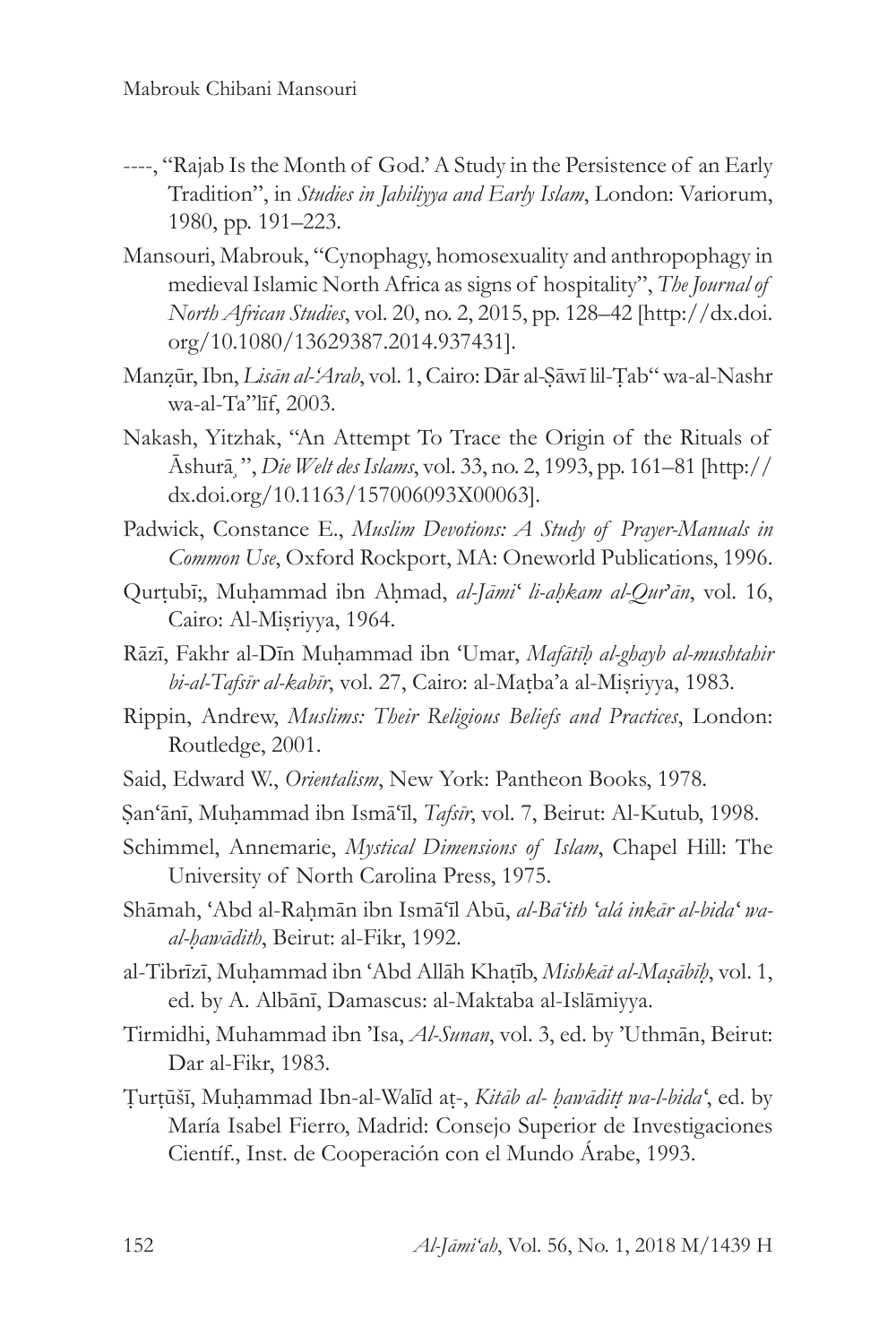- ----, "Rajab Is the Month of God.' A Study in the Persistence of an Early Tradition", in *Studies in Jahiliyya and Early Islam*, London: Variorum, 1980, pp. 191–223.
- Mansouri, Mabrouk, "Cynophagy, homosexuality and anthropophagy in medieval Islamic North Africa as signs of hospitality", *The Journal of North African Studies*, vol. 20, no. 2, 2015, pp. 128–42 [http://dx.doi. org/10.1080/13629387.2014.937431].
- Manẓūr, Ibn, *Lisān al-'Arab*, vol. 1, Cairo: Dār al-Ṣāwī lil-Ṭab" wa-al-Nashr wa-al-Ta"līf, 2003.
- Nakash, Yitzhak, "An Attempt To Trace the Origin of the Rituals of Āshur⏔, *Die Welt des Islams*, vol. 33, no. 2, 1993, pp. 161–81 [http:// dx.doi.org/10.1163/157006093X00063].
- Padwick, Constance E., *Muslim Devotions: A Study of Prayer-Manuals in Common Use*, Oxford Rockport, MA: Oneworld Publications, 1996.
- Qurtubī;, Muhammad ibn Ahmad, *al-Jāmi' li-ahkam al-Qur'ān*, vol. 16, Cairo: Al-Miṣriyya, 1964.
- Rāzī, Fakhr al-Dīn Muḥammad ibn ʻUmar, *Mafātīḥ al-ghayb al-mushtahir bi-al-Tafsīr al-kabīr*, vol. 27, Cairo: al-Maṭba'a al-Miṣriyya, 1983.
- Rippin, Andrew, *Muslims: Their Religious Beliefs and Practices*, London: Routledge, 2001.
- Said, Edward W., *Orientalism*, New York: Pantheon Books, 1978.
- Ṣanʻānī, Muḥammad ibn Ismāʻīl, *Tafsīr*, vol. 7, Beirut: Al-Kutub, 1998.
- Schimmel, Annemarie, *Mystical Dimensions of Islam*, Chapel Hill: The University of North Carolina Press, 1975.
- Shāmah, 'Abd al-Rahmān ibn Ismā'īl Abū, *al-Bā'ith 'alá inkār al-bida' waal-ḥawādith*, Beirut: al-Fikr, 1992.
- al-Tibrīzī, Muḥammad ibn ʻAbd Allāh Khaṭīb, *Mishkāt al-Maṣābīḥ*, vol. 1, ed. by A. Albānī, Damascus: al-Maktaba al-Islāmiyya.
- Tirmidhi, Muhammad ibn 'Isa, *Al-Sunan*, vol. 3, ed. by 'Uthmān, Beirut: Dar al-Fikr, 1983.
- Ṭurṭūšī, Muḥammad Ibn-al-Walīd aṭ-, *Kitāb al- ḥawāditṭ wa-l-bidaʻ*, ed. by María Isabel Fierro, Madrid: Consejo Superior de Investigaciones Científ., Inst. de Cooperación con el Mundo Árabe, 1993.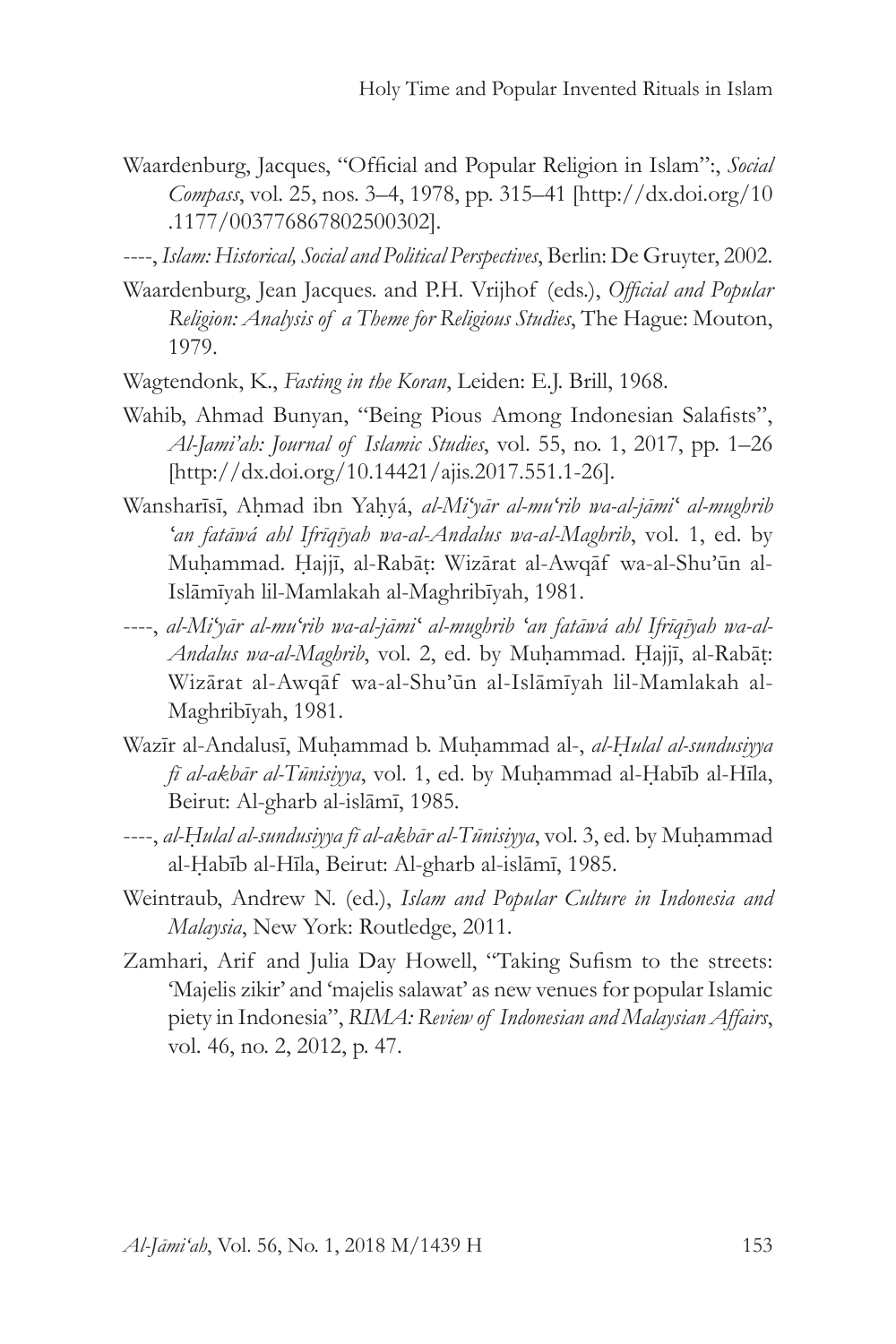Waardenburg, Jacques, "Official and Popular Religion in Islam":, *Social Compass*, vol. 25, nos. 3–4, 1978, pp. 315–41 [http://dx.doi.org/10 .1177/003776867802500302].

----, *Islam: Historical, Social and Political Perspectives*, Berlin: De Gruyter, 2002.

- Waardenburg, Jean Jacques. and P.H. Vrijhof (eds.), *Official and Popular Religion: Analysis of a Theme for Religious Studies*, The Hague: Mouton, 1979.
- Wagtendonk, K., *Fasting in the Koran*, Leiden: E.J. Brill, 1968.
- Wahib, Ahmad Bunyan, "Being Pious Among Indonesian Salafists", *Al-Jami'ah: Journal of Islamic Studies*, vol. 55, no. 1, 2017, pp. 1–26 [http://dx.doi.org/10.14421/ajis.2017.551.1-26].
- Wansharīsī, Aḥmad ibn Yaḥyá, *al-Miʻyār al-muʻrib wa-al-jāmiʻ al-mughrib ʻan fatāwá ahl Ifrīqīyah wa-al-Andalus wa-al-Maghrib*, vol. 1, ed. by Muḥammad. Ḥajjī, al-Rabāṭ: Wizārat al-Awqāf wa-al-Shu'ūn al-Islāmīyah lil-Mamlakah al-Maghribīyah, 1981.
- ----, *al-Miʻyār al-muʻrib wa-al-jāmiʻ al-mughrib ʻan fatāwá ahl Ifrīqīyah wa-al-Andalus wa-al-Maghrib*, vol. 2, ed. by Muḥammad. Ḥajjī, al-Rabāṭ: Wizārat al-Awqāf wa-al-Shu'ūn al-Islāmīyah lil-Mamlakah al-Maghribīyah, 1981.
- Wazīr al-Andalusī, Muḥammad b. Muḥammad al-, *al-Ḥulal al-sundusiyya fī al-akbār al-Tūnisiyya*, vol. 1, ed. by Muḥammad al-Ḥabīb al-Hīla, Beirut: Al-gharb al-islāmī, 1985.
- ----, *al-Ḥulal al-sundusiyya fī al-akbār al-Tūnisiyya*, vol. 3, ed. by Muḥammad al-Ḥabīb al-Hīla, Beirut: Al-gharb al-islāmī, 1985.
- Weintraub, Andrew N. (ed.), *Islam and Popular Culture in Indonesia and Malaysia*, New York: Routledge, 2011.
- Zamhari, Arif and Julia Day Howell, "Taking Sufism to the streets: 'Majelis zikir' and 'majelis salawat' as new venues for popular Islamic piety in Indonesia", *RIMA: Review of Indonesian and Malaysian Affairs*, vol. 46, no. 2, 2012, p. 47.